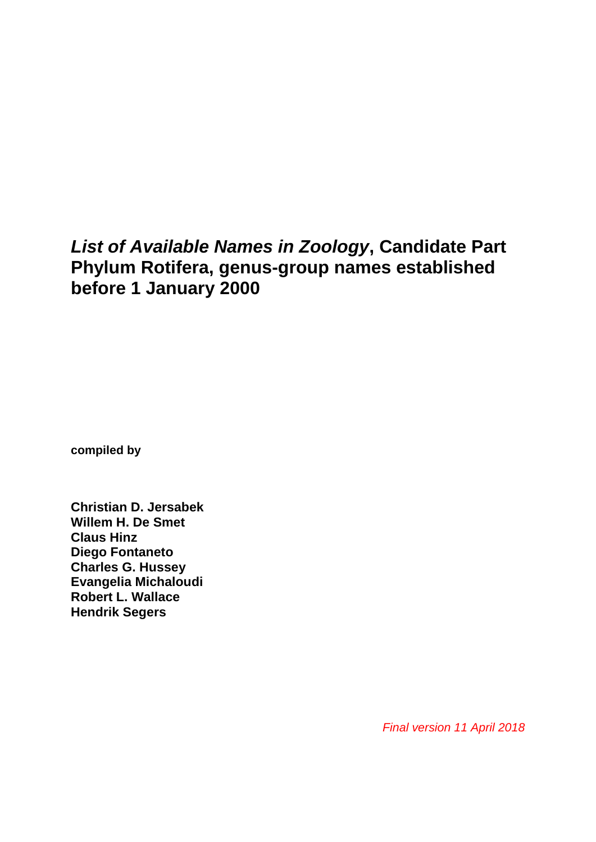# *List of Available Names in Zoology***, Candidate Part Phylum Rotifera, genus-group names established before 1 January 2000**

**compiled by**

**Christian D. Jersabek Willem H. De Smet Claus Hinz Diego Fontaneto Charles G. Hussey Evangelia Michaloudi Robert L. Wallace Hendrik Segers**

*Final version 11 April 2018*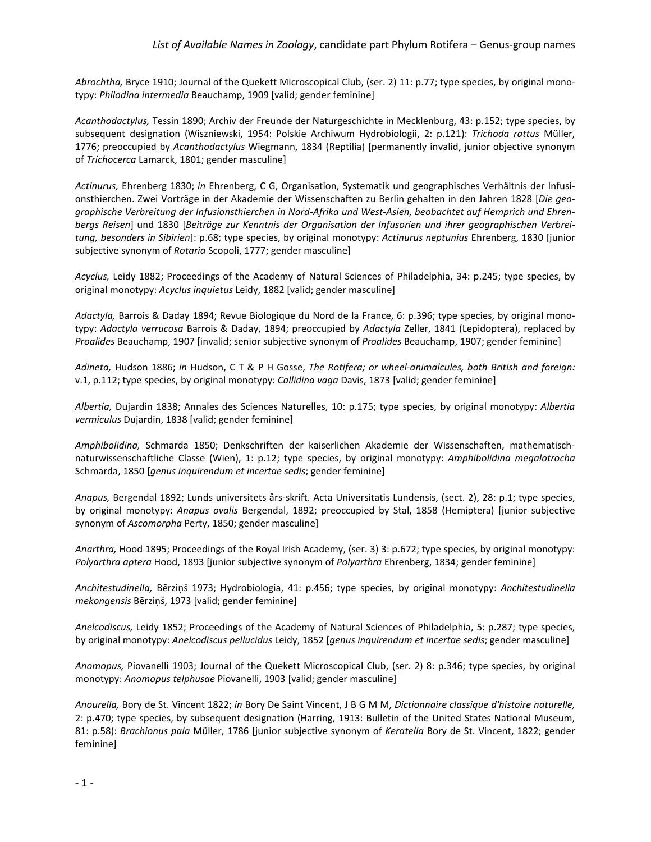*Abrochtha,* Bryce 1910; Journal of the Quekett Microscopical Club, (ser. 2) 11: p.77; type species, by original monotypy: *Philodina intermedia* Beauchamp, 1909 [valid; gender feminine]

*Acanthodactylus,* Tessin 1890; Archiv der Freunde der Naturgeschichte in Mecklenburg, 43: p.152; type species, by subsequent designation (Wiszniewski, 1954: Polskie Archiwum Hydrobiologii, 2: p.121): *Trichoda rattus* Müller, 1776; preoccupied by *Acanthodactylus* Wiegmann, 1834 (Reptilia) [permanently invalid, junior objective synonym of *Trichocerca* Lamarck, 1801; gender masculine]

*Actinurus,* Ehrenberg 1830; *in* Ehrenberg, C G, Organisation, Systematik und geographisches Verhältnis der Infusionsthierchen. Zwei Vorträge in der Akademie der Wissenschaften zu Berlin gehalten in den Jahren 1828 [*Die geographische Verbreitung der Infusionsthierchen in Nord-Afrika und West-Asien, beobachtet auf Hemprich und Ehrenbergs Reisen*] und 1830 [*Beiträge zur Kenntnis der Organisation der Infusorien und ihrer geographischen Verbreitung, besonders in Sibirien*]: p.68; type species, by original monotypy: *Actinurus neptunius* Ehrenberg, 1830 [junior subjective synonym of *Rotaria* Scopoli, 1777; gender masculine]

*Acyclus,* Leidy 1882; Proceedings of the Academy of Natural Sciences of Philadelphia, 34: p.245; type species, by original monotypy: *Acyclus inquietus* Leidy, 1882 [valid; gender masculine]

*Adactyla,* Barrois & Daday 1894; Revue Biologique du Nord de la France, 6: p.396; type species, by original monotypy: *Adactyla verrucosa* Barrois & Daday, 1894; preoccupied by *Adactyla* Zeller, 1841 (Lepidoptera), replaced by *Proalides* Beauchamp, 1907 [invalid; senior subjective synonym of *Proalides* Beauchamp, 1907; gender feminine]

*Adineta,* Hudson 1886; *in* Hudson, C T & P H Gosse, *The Rotifera; or wheel-animalcules, both British and foreign:* v.1, p.112; type species, by original monotypy: *Callidina vaga* Davis, 1873 [valid; gender feminine]

*Albertia,* Dujardin 1838; Annales des Sciences Naturelles, 10: p.175; type species, by original monotypy: *Albertia vermiculus* Dujardin, 1838 [valid; gender feminine]

*Amphibolidina,* Schmarda 1850; Denkschriften der kaiserlichen Akademie der Wissenschaften, mathematischnaturwissenschaftliche Classe (Wien), 1: p.12; type species, by original monotypy: *Amphibolidina megalotrocha* Schmarda, 1850 [*genus inquirendum et incertae sedis*; gender feminine]

*Anapus,* Bergendal 1892; Lunds universitets års-skrift. Acta Universitatis Lundensis, (sect. 2), 28: p.1; type species, by original monotypy: *Anapus ovalis* Bergendal, 1892; preoccupied by Stal, 1858 (Hemiptera) [junior subjective synonym of *Ascomorpha* Perty, 1850; gender masculine]

*Anarthra,* Hood 1895; Proceedings of the Royal Irish Academy, (ser. 3) 3: p.672; type species, by original monotypy: *Polyarthra aptera* Hood, 1893 [junior subjective synonym of *Polyarthra* Ehrenberg, 1834; gender feminine]

*Anchitestudinella,* Bērziņš 1973; Hydrobiologia, 41: p.456; type species, by original monotypy: *Anchitestudinella mekongensis* Bērziņš, 1973 [valid; gender feminine]

*Anelcodiscus,* Leidy 1852; Proceedings of the Academy of Natural Sciences of Philadelphia, 5: p.287; type species, by original monotypy: *Anelcodiscus pellucidus* Leidy, 1852 [*genus inquirendum et incertae sedis*; gender masculine]

*Anomopus,* Piovanelli 1903; Journal of the Quekett Microscopical Club, (ser. 2) 8: p.346; type species, by original monotypy: *Anomopus telphusae* Piovanelli, 1903 [valid; gender masculine]

*Anourella,* Bory de St. Vincent 1822; *in* Bory De Saint Vincent, J B G M M, *Dictionnaire classique d'histoire naturelle,* 2: p.470; type species, by subsequent designation (Harring, 1913: Bulletin of the United States National Museum, 81: p.58): *Brachionus pala* Müller, 1786 [junior subjective synonym of *Keratella* Bory de St. Vincent, 1822; gender feminine]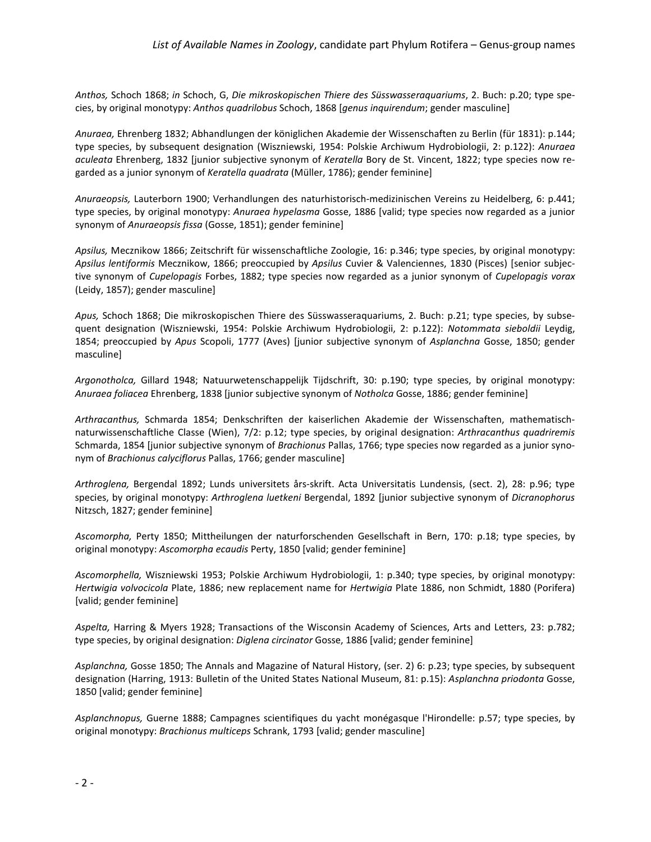*Anthos,* Schoch 1868; *in* Schoch, G, *Die mikroskopischen Thiere des Süsswasseraquariums*, 2. Buch: p.20; type species, by original monotypy: *Anthos quadrilobus* Schoch, 1868 [*genus inquirendum*; gender masculine]

*Anuraea,* Ehrenberg 1832; Abhandlungen der königlichen Akademie der Wissenschaften zu Berlin (für 1831): p.144; type species, by subsequent designation (Wiszniewski, 1954: Polskie Archiwum Hydrobiologii, 2: p.122): *Anuraea aculeata* Ehrenberg, 1832 [junior subjective synonym of *Keratella* Bory de St. Vincent, 1822; type species now regarded as a junior synonym of *Keratella quadrata* (Müller, 1786); gender feminine]

*Anuraeopsis,* Lauterborn 1900; Verhandlungen des naturhistorisch-medizinischen Vereins zu Heidelberg, 6: p.441; type species, by original monotypy: *Anuraea hypelasma* Gosse, 1886 [valid; type species now regarded as a junior synonym of *Anuraeopsis fissa* (Gosse, 1851); gender feminine]

*Apsilus,* Mecznikow 1866; Zeitschrift für wissenschaftliche Zoologie, 16: p.346; type species, by original monotypy: *Apsilus lentiformis* Mecznikow, 1866; preoccupied by *Apsilus* Cuvier & Valenciennes, 1830 (Pisces) [senior subjective synonym of *Cupelopagis* Forbes, 1882; type species now regarded as a junior synonym of *Cupelopagis vorax* (Leidy, 1857); gender masculine]

*Apus,* Schoch 1868; Die mikroskopischen Thiere des Süsswasseraquariums, 2. Buch: p.21; type species, by subsequent designation (Wiszniewski, 1954: Polskie Archiwum Hydrobiologii, 2: p.122): *Notommata sieboldii* Leydig, 1854; preoccupied by *Apus* Scopoli, 1777 (Aves) [junior subjective synonym of *Asplanchna* Gosse, 1850; gender masculine]

*Argonotholca,* Gillard 1948; Natuurwetenschappelijk Tijdschrift, 30: p.190; type species, by original monotypy: *Anuraea foliacea* Ehrenberg, 1838 [junior subjective synonym of *Notholca* Gosse, 1886; gender feminine]

*Arthracanthus,* Schmarda 1854; Denkschriften der kaiserlichen Akademie der Wissenschaften, mathematischnaturwissenschaftliche Classe (Wien), 7/2: p.12; type species, by original designation: *Arthracanthus quadriremis* Schmarda, 1854 [junior subjective synonym of *Brachionus* Pallas, 1766; type species now regarded as a junior synonym of *Brachionus calyciflorus* Pallas, 1766; gender masculine]

*Arthroglena,* Bergendal 1892; Lunds universitets års-skrift. Acta Universitatis Lundensis, (sect. 2), 28: p.96; type species, by original monotypy: *Arthroglena luetkeni* Bergendal, 1892 [junior subjective synonym of *Dicranophorus* Nitzsch, 1827; gender feminine]

*Ascomorpha,* Perty 1850; Mittheilungen der naturforschenden Gesellschaft in Bern, 170: p.18; type species, by original monotypy: *Ascomorpha ecaudis* Perty, 1850 [valid; gender feminine]

*Ascomorphella,* Wiszniewski 1953; Polskie Archiwum Hydrobiologii, 1: p.340; type species, by original monotypy: *Hertwigia volvocicola* Plate, 1886; new replacement name for *Hertwigia* Plate 1886, non Schmidt, 1880 (Porifera) [valid; gender feminine]

*Aspelta,* Harring & Myers 1928; Transactions of the Wisconsin Academy of Sciences, Arts and Letters, 23: p.782; type species, by original designation: *Diglena circinator* Gosse, 1886 [valid; gender feminine]

*Asplanchna,* Gosse 1850; The Annals and Magazine of Natural History, (ser. 2) 6: p.23; type species, by subsequent designation (Harring, 1913: Bulletin of the United States National Museum, 81: p.15): *Asplanchna priodonta* Gosse, 1850 [valid; gender feminine]

*Asplanchnopus,* Guerne 1888; Campagnes scientifiques du yacht monégasque l'Hirondelle: p.57; type species, by original monotypy: *Brachionus multiceps* Schrank, 1793 [valid; gender masculine]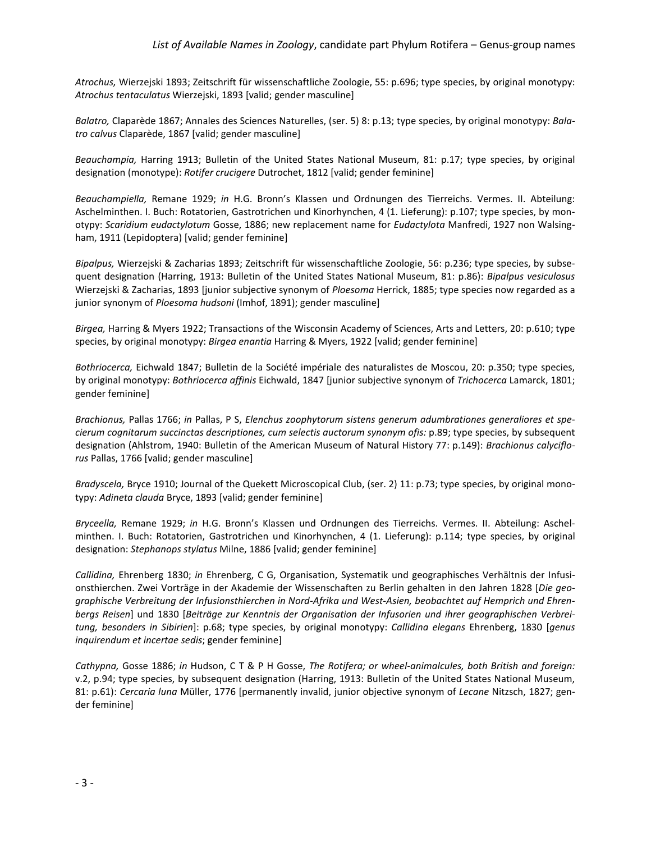*Atrochus,* Wierzejski 1893; Zeitschrift für wissenschaftliche Zoologie, 55: p.696; type species, by original monotypy: *Atrochus tentaculatus* Wierzejski, 1893 [valid; gender masculine]

*Balatro,* Claparède 1867; Annales des Sciences Naturelles, (ser. 5) 8: p.13; type species, by original monotypy: *Balatro calvus* Claparède, 1867 [valid; gender masculine]

*Beauchampia,* Harring 1913; Bulletin of the United States National Museum, 81: p.17; type species, by original designation (monotype): *Rotifer crucigere* Dutrochet, 1812 [valid; gender feminine]

*Beauchampiella,* Remane 1929; *in* H.G. Bronn's Klassen und Ordnungen des Tierreichs. Vermes. II. Abteilung: Aschelminthen. I. Buch: Rotatorien, Gastrotrichen und Kinorhynchen, 4 (1. Lieferung): p.107; type species, by monotypy: *Scaridium eudactylotum* Gosse, 1886; new replacement name for *Eudactylota* Manfredi, 1927 non Walsingham, 1911 (Lepidoptera) [valid; gender feminine]

*Bipalpus,* Wierzejski & Zacharias 1893; Zeitschrift für wissenschaftliche Zoologie, 56: p.236; type species, by subsequent designation (Harring, 1913: Bulletin of the United States National Museum, 81: p.86): *Bipalpus vesiculosus* Wierzejski & Zacharias, 1893 [junior subjective synonym of *Ploesoma* Herrick, 1885; type species now regarded as a junior synonym of *Ploesoma hudsoni* (Imhof, 1891); gender masculine]

*Birgea,* Harring & Myers 1922; Transactions of the Wisconsin Academy of Sciences, Arts and Letters, 20: p.610; type species, by original monotypy: *Birgea enantia* Harring & Myers, 1922 [valid; gender feminine]

*Bothriocerca,* Eichwald 1847; Bulletin de la Société impériale des naturalistes de Moscou, 20: p.350; type species, by original monotypy: *Bothriocerca affinis* Eichwald, 1847 [junior subjective synonym of *Trichocerca* Lamarck, 1801; gender feminine]

*Brachionus,* Pallas 1766; *in* Pallas, P S, *Elenchus zoophytorum sistens generum adumbrationes generaliores et specierum cognitarum succinctas descriptiones, cum selectis auctorum synonym ofis:* p.89; type species, by subsequent designation (Ahlstrom, 1940: Bulletin of the American Museum of Natural History 77: p.149): *Brachionus calyciflorus* Pallas, 1766 [valid; gender masculine]

*Bradyscela,* Bryce 1910; Journal of the Quekett Microscopical Club, (ser. 2) 11: p.73; type species, by original monotypy: *Adineta clauda* Bryce, 1893 [valid; gender feminine]

*Bryceella,* Remane 1929; *in* H.G. Bronn's Klassen und Ordnungen des Tierreichs. Vermes. II. Abteilung: Aschelminthen. I. Buch: Rotatorien, Gastrotrichen und Kinorhynchen, 4 (1. Lieferung): p.114; type species, by original designation: *Stephanops stylatus* Milne, 1886 [valid; gender feminine]

*Callidina,* Ehrenberg 1830; *in* Ehrenberg, C G, Organisation, Systematik und geographisches Verhältnis der Infusionsthierchen. Zwei Vorträge in der Akademie der Wissenschaften zu Berlin gehalten in den Jahren 1828 [*Die geographische Verbreitung der Infusionsthierchen in Nord-Afrika und West-Asien, beobachtet auf Hemprich und Ehrenbergs Reisen*] und 1830 [*Beiträge zur Kenntnis der Organisation der Infusorien und ihrer geographischen Verbreitung, besonders in Sibirien*]: p.68; type species, by original monotypy: *Callidina elegans* Ehrenberg, 1830 [*genus inquirendum et incertae sedis*; gender feminine]

*Cathypna,* Gosse 1886; *in* Hudson, C T & P H Gosse, *The Rotifera; or wheel-animalcules, both British and foreign:* v.2, p.94; type species, by subsequent designation (Harring, 1913: Bulletin of the United States National Museum, 81: p.61): *Cercaria luna* Müller, 1776 [permanently invalid, junior objective synonym of *Lecane* Nitzsch, 1827; gender feminine]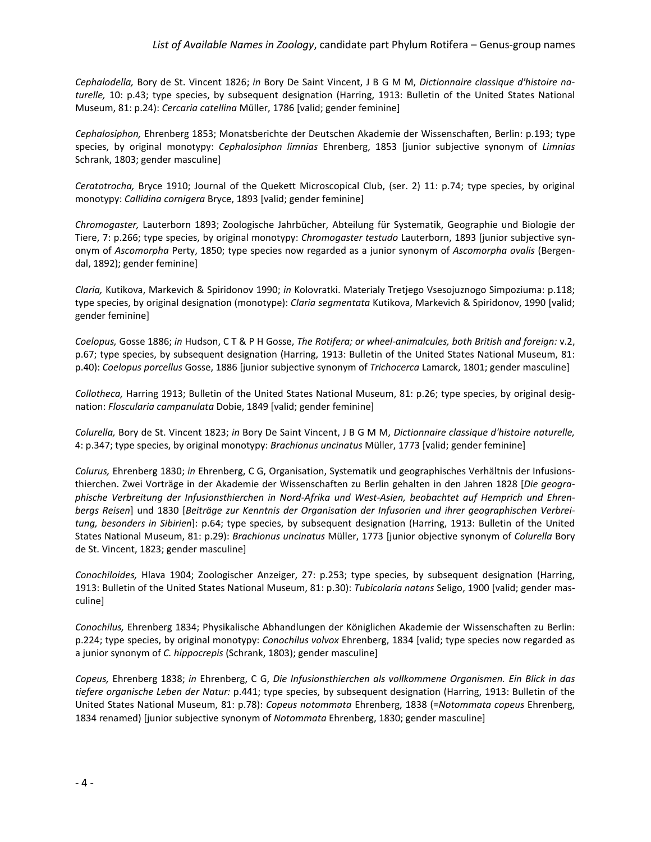*Cephalodella,* Bory de St. Vincent 1826; *in* Bory De Saint Vincent, J B G M M, *Dictionnaire classique d'histoire naturelle,* 10: p.43; type species, by subsequent designation (Harring, 1913: Bulletin of the United States National Museum, 81: p.24): *Cercaria catellina* Müller, 1786 [valid; gender feminine]

*Cephalosiphon,* Ehrenberg 1853; Monatsberichte der Deutschen Akademie der Wissenschaften, Berlin: p.193; type species, by original monotypy: *Cephalosiphon limnias* Ehrenberg, 1853 [junior subjective synonym of *Limnias* Schrank, 1803; gender masculine]

*Ceratotrocha,* Bryce 1910; Journal of the Quekett Microscopical Club, (ser. 2) 11: p.74; type species, by original monotypy: *Callidina cornigera* Bryce, 1893 [valid; gender feminine]

*Chromogaster,* Lauterborn 1893; Zoologische Jahrbücher, Abteilung für Systematik, Geographie und Biologie der Tiere, 7: p.266; type species, by original monotypy: *Chromogaster testudo* Lauterborn, 1893 [junior subjective synonym of *Ascomorpha* Perty, 1850; type species now regarded as a junior synonym of *Ascomorpha ovalis* (Bergendal, 1892); gender feminine]

*Claria,* Kutikova, Markevich & Spiridonov 1990; *in* Kolovratki. Materialy Tretjego Vsesojuznogo Simpoziuma: p.118; type species, by original designation (monotype): *Claria segmentata* Kutikova, Markevich & Spiridonov, 1990 [valid; gender feminine]

*Coelopus,* Gosse 1886; *in* Hudson, C T & P H Gosse, *The Rotifera; or wheel-animalcules, both British and foreign:* v.2, p.67; type species, by subsequent designation (Harring, 1913: Bulletin of the United States National Museum, 81: p.40): *Coelopus porcellus* Gosse, 1886 [junior subjective synonym of *Trichocerca* Lamarck, 1801; gender masculine]

*Collotheca,* Harring 1913; Bulletin of the United States National Museum, 81: p.26; type species, by original designation: *Floscularia campanulata* Dobie, 1849 [valid; gender feminine]

*Colurella,* Bory de St. Vincent 1823; *in* Bory De Saint Vincent, J B G M M, *Dictionnaire classique d'histoire naturelle,* 4: p.347; type species, by original monotypy: *Brachionus uncinatus* Müller, 1773 [valid; gender feminine]

*Colurus,* Ehrenberg 1830; *in* Ehrenberg, C G, Organisation, Systematik und geographisches Verhältnis der Infusionsthierchen. Zwei Vorträge in der Akademie der Wissenschaften zu Berlin gehalten in den Jahren 1828 [*Die geographische Verbreitung der Infusionsthierchen in Nord-Afrika und West-Asien, beobachtet auf Hemprich und Ehrenbergs Reisen*] und 1830 [*Beiträge zur Kenntnis der Organisation der Infusorien und ihrer geographischen Verbreitung, besonders in Sibirien*]: p.64; type species, by subsequent designation (Harring, 1913: Bulletin of the United States National Museum, 81: p.29): *Brachionus uncinatus* Müller, 1773 [junior objective synonym of *Colurella* Bory de St. Vincent, 1823; gender masculine]

*Conochiloides,* Hlava 1904; Zoologischer Anzeiger, 27: p.253; type species, by subsequent designation (Harring, 1913: Bulletin of the United States National Museum, 81: p.30): *Tubicolaria natans* Seligo, 1900 [valid; gender masculine]

*Conochilus,* Ehrenberg 1834; Physikalische Abhandlungen der Königlichen Akademie der Wissenschaften zu Berlin: p.224; type species, by original monotypy: *Conochilus volvox* Ehrenberg, 1834 [valid; type species now regarded as a junior synonym of *C. hippocrepis* (Schrank, 1803); gender masculine]

*Copeus,* Ehrenberg 1838; *in* Ehrenberg, C G, *Die Infusionsthierchen als vollkommene Organismen. Ein Blick in das tiefere organische Leben der Natur:* p.441; type species, by subsequent designation (Harring, 1913: Bulletin of the United States National Museum, 81: p.78): *Copeus notommata* Ehrenberg, 1838 (=*Notommata copeus* Ehrenberg, 1834 renamed) [junior subjective synonym of *Notommata* Ehrenberg, 1830; gender masculine]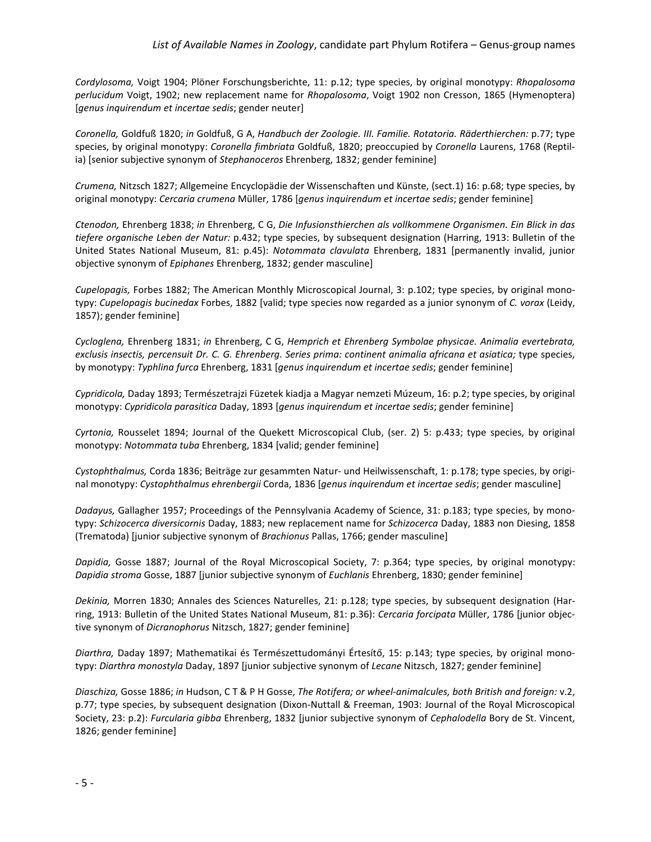*Cordylosoma,* Voigt 1904; Plöner Forschungsberichte, 11: p.12; type species, by original monotypy: *Rhopalosoma perlucidum* Voigt, 1902; new replacement name for *Rhopalosoma*, Voigt 1902 non Cresson, 1865 (Hymenoptera) [*genus inquirendum et incertae sedis*; gender neuter]

*Coronella,* Goldfuß 1820; *in* Goldfuß, G A, *Handbuch der Zoologie. III. Familie. Rotatoria. Räderthierchen:* p.77; type species, by original monotypy: *Coronella fimbriata* Goldfuß, 1820; preoccupied by *Coronella* Laurens, 1768 (Reptilia) [senior subjective synonym of *Stephanoceros* Ehrenberg, 1832; gender feminine]

*Crumena,* Nitzsch 1827; Allgemeine Encyclopädie der Wissenschaften und Künste, (sect.1) 16: p.68; type species, by original monotypy: *Cercaria crumena* Müller, 1786 [*genus inquirendum et incertae sedis*; gender feminine]

*Ctenodon,* Ehrenberg 1838; *in* Ehrenberg, C G, *Die Infusionsthierchen als vollkommene Organismen. Ein Blick in das tiefere organische Leben der Natur:* p.432; type species, by subsequent designation (Harring, 1913: Bulletin of the United States National Museum, 81: p.45): *Notommata clavulata* Ehrenberg, 1831 [permanently invalid, junior objective synonym of *Epiphanes* Ehrenberg, 1832; gender masculine]

*Cupelopagis,* Forbes 1882; The American Monthly Microscopical Journal, 3: p.102; type species, by original monotypy: *Cupelopagis bucinedax* Forbes, 1882 [valid; type species now regarded as a junior synonym of *C. vorax* (Leidy, 1857); gender feminine]

*Cycloglena,* Ehrenberg 1831; *in* Ehrenberg, C G, *Hemprich et Ehrenberg Symbolae physicae. Animalia evertebrata, exclusis insectis, percensuit Dr. C. G. Ehrenberg. Series prima: continent animalia africana et asiatica;* type species, by monotypy: *Typhlina furca* Ehrenberg, 1831 [*genus inquirendum et incertae sedis*; gender feminine]

*Cypridicola,* Daday 1893; Természetrajzi Füzetek kiadja a Magyar nemzeti Múzeum, 16: p.2; type species, by original monotypy: *Cypridicola parasitica* Daday, 1893 [*genus inquirendum et incertae sedis*; gender feminine]

*Cyrtonia,* Rousselet 1894; Journal of the Quekett Microscopical Club, (ser. 2) 5: p.433; type species, by original monotypy: *Notommata tuba* Ehrenberg, 1834 [valid; gender feminine]

*Cystophthalmus,* Corda 1836; Beiträge zur gesammten Natur- und Heilwissenschaft, 1: p.178; type species, by original monotypy: *Cystophthalmus ehrenbergii* Corda, 1836 [*genus inquirendum et incertae sedis*; gender masculine]

*Dadayus,* Gallagher 1957; Proceedings of the Pennsylvania Academy of Science, 31: p.183; type species, by monotypy: *Schizocerca diversicornis* Daday, 1883; new replacement name for *Schizocerca* Daday, 1883 non Diesing, 1858 (Trematoda) [junior subjective synonym of *Brachionus* Pallas, 1766; gender masculine]

*Dapidia,* Gosse 1887; Journal of the Royal Microscopical Society, 7: p.364; type species, by original monotypy: *Dapidia stroma* Gosse, 1887 [junior subjective synonym of *Euchlanis* Ehrenberg, 1830; gender feminine]

*Dekinia,* Morren 1830; Annales des Sciences Naturelles, 21: p.128; type species, by subsequent designation (Harring, 1913: Bulletin of the United States National Museum, 81: p.36): *Cercaria forcipata* Müller, 1786 [junior objective synonym of *Dicranophorus* Nitzsch, 1827; gender feminine]

*Diarthra,* Daday 1897; Mathematikai és Természettudományi Értesítő, 15: p.143; type species, by original monotypy: *Diarthra monostyla* Daday, 1897 [junior subjective synonym of *Lecane* Nitzsch, 1827; gender feminine]

*Diaschiza,* Gosse 1886; *in* Hudson, C T & P H Gosse, *The Rotifera; or wheel-animalcules, both British and foreign:* v.2, p.77; type species, by subsequent designation (Dixon-Nuttall & Freeman, 1903: Journal of the Royal Microscopical Society, 23: p.2): *Furcularia gibba* Ehrenberg, 1832 [junior subjective synonym of *Cephalodella* Bory de St. Vincent, 1826; gender feminine]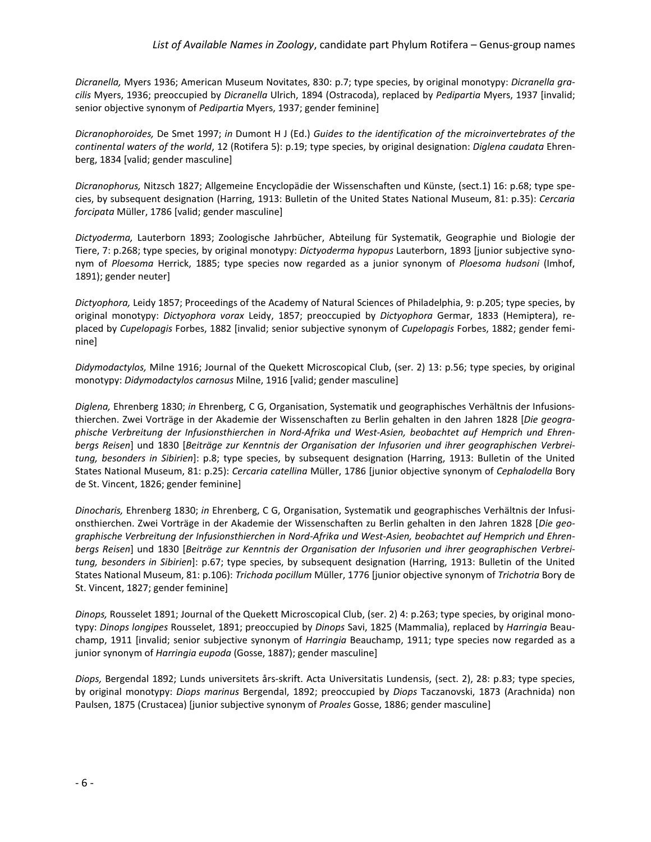*Dicranella,* Myers 1936; American Museum Novitates, 830: p.7; type species, by original monotypy: *Dicranella gracilis* Myers, 1936; preoccupied by *Dicranella* Ulrich, 1894 (Ostracoda), replaced by *Pedipartia* Myers, 1937 [invalid; senior objective synonym of *Pedipartia* Myers, 1937; gender feminine]

*Dicranophoroides,* De Smet 1997; *in* Dumont H J (Ed.) *Guides to the identification of the microinvertebrates of the continental waters of the world*, 12 (Rotifera 5): p.19; type species, by original designation: *Diglena caudata* Ehrenberg, 1834 [valid; gender masculine]

*Dicranophorus,* Nitzsch 1827; Allgemeine Encyclopädie der Wissenschaften und Künste, (sect.1) 16: p.68; type species, by subsequent designation (Harring, 1913: Bulletin of the United States National Museum, 81: p.35): *Cercaria forcipata* Müller, 1786 [valid; gender masculine]

*Dictyoderma,* Lauterborn 1893; Zoologische Jahrbücher, Abteilung für Systematik, Geographie und Biologie der Tiere, 7: p.268; type species, by original monotypy: *Dictyoderma hypopus* Lauterborn, 1893 [junior subjective synonym of *Ploesoma* Herrick, 1885; type species now regarded as a junior synonym of *Ploesoma hudsoni* (Imhof, 1891); gender neuter]

*Dictyophora,* Leidy 1857; Proceedings of the Academy of Natural Sciences of Philadelphia, 9: p.205; type species, by original monotypy: *Dictyophora vorax* Leidy, 1857; preoccupied by *Dictyophora* Germar, 1833 (Hemiptera), replaced by *Cupelopagis* Forbes, 1882 [invalid; senior subjective synonym of *Cupelopagis* Forbes, 1882; gender feminine]

*Didymodactylos,* Milne 1916; Journal of the Quekett Microscopical Club, (ser. 2) 13: p.56; type species, by original monotypy: *Didymodactylos carnosus* Milne, 1916 [valid; gender masculine]

*Diglena,* Ehrenberg 1830; *in* Ehrenberg, C G, Organisation, Systematik und geographisches Verhältnis der Infusionsthierchen. Zwei Vorträge in der Akademie der Wissenschaften zu Berlin gehalten in den Jahren 1828 [*Die geographische Verbreitung der Infusionsthierchen in Nord-Afrika und West-Asien, beobachtet auf Hemprich und Ehrenbergs Reisen*] und 1830 [*Beiträge zur Kenntnis der Organisation der Infusorien und ihrer geographischen Verbreitung, besonders in Sibirien*]: p.8; type species, by subsequent designation (Harring, 1913: Bulletin of the United States National Museum, 81: p.25): *Cercaria catellina* Müller, 1786 [junior objective synonym of *Cephalodella* Bory de St. Vincent, 1826; gender feminine]

*Dinocharis,* Ehrenberg 1830; *in* Ehrenberg, C G, Organisation, Systematik und geographisches Verhältnis der Infusionsthierchen. Zwei Vorträge in der Akademie der Wissenschaften zu Berlin gehalten in den Jahren 1828 [*Die geographische Verbreitung der Infusionsthierchen in Nord-Afrika und West-Asien, beobachtet auf Hemprich und Ehrenbergs Reisen*] und 1830 [*Beiträge zur Kenntnis der Organisation der Infusorien und ihrer geographischen Verbreitung, besonders in Sibirien*]: p.67; type species, by subsequent designation (Harring, 1913: Bulletin of the United States National Museum, 81: p.106): *Trichoda pocillum* Müller, 1776 [junior objective synonym of *Trichotria* Bory de St. Vincent, 1827; gender feminine]

*Dinops,* Rousselet 1891; Journal of the Quekett Microscopical Club, (ser. 2) 4: p.263; type species, by original monotypy: *Dinops longipes* Rousselet, 1891; preoccupied by *Dinops* Savi, 1825 (Mammalia), replaced by *Harringia* Beauchamp, 1911 [invalid; senior subjective synonym of *Harringia* Beauchamp, 1911; type species now regarded as a junior synonym of *Harringia eupoda* (Gosse, 1887); gender masculine]

*Diops,* Bergendal 1892; Lunds universitets års-skrift. Acta Universitatis Lundensis, (sect. 2), 28: p.83; type species, by original monotypy: *Diops marinus* Bergendal, 1892; preoccupied by *Diops* Taczanovski, 1873 (Arachnida) non Paulsen, 1875 (Crustacea) [junior subjective synonym of *Proales* Gosse, 1886; gender masculine]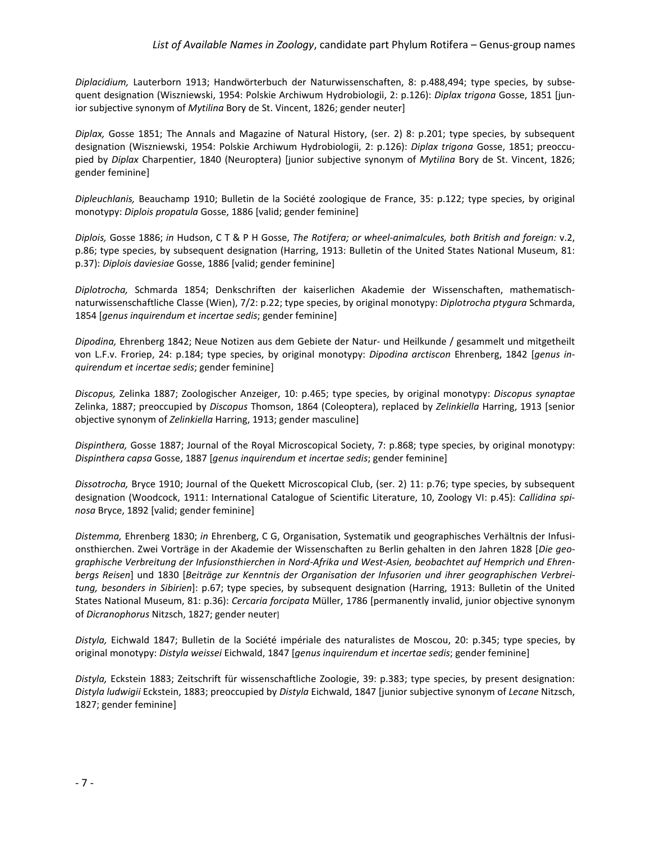*Diplacidium,* Lauterborn 1913; Handwörterbuch der Naturwissenschaften, 8: p.488,494; type species, by subsequent designation (Wiszniewski, 1954: Polskie Archiwum Hydrobiologii, 2: p.126): *Diplax trigona* Gosse, 1851 [junior subjective synonym of *Mytilina* Bory de St. Vincent, 1826; gender neuter]

*Diplax,* Gosse 1851; The Annals and Magazine of Natural History, (ser. 2) 8: p.201; type species, by subsequent designation (Wiszniewski, 1954: Polskie Archiwum Hydrobiologii, 2: p.126): *Diplax trigona* Gosse, 1851; preoccupied by *Diplax* Charpentier, 1840 (Neuroptera) [junior subjective synonym of *Mytilina* Bory de St. Vincent, 1826; gender feminine]

*Dipleuchlanis,* Beauchamp 1910; Bulletin de la Société zoologique de France, 35: p.122; type species, by original monotypy: *Diplois propatula* Gosse, 1886 [valid; gender feminine]

*Diplois,* Gosse 1886; *in* Hudson, C T & P H Gosse, *The Rotifera; or wheel-animalcules, both British and foreign:* v.2, p.86; type species, by subsequent designation (Harring, 1913: Bulletin of the United States National Museum, 81: p.37): *Diplois daviesiae* Gosse, 1886 [valid; gender feminine]

*Diplotrocha,* Schmarda 1854; Denkschriften der kaiserlichen Akademie der Wissenschaften, mathematischnaturwissenschaftliche Classe (Wien), 7/2: p.22; type species, by original monotypy: *Diplotrocha ptygura* Schmarda, 1854 [*genus inquirendum et incertae sedis*; gender feminine]

*Dipodina,* Ehrenberg 1842; Neue Notizen aus dem Gebiete der Natur- und Heilkunde / gesammelt und mitgetheilt von L.F.v. Froriep, 24: p.184; type species, by original monotypy: *Dipodina arctiscon* Ehrenberg, 1842 [*genus inquirendum et incertae sedis*; gender feminine]

*Discopus,* Zelinka 1887; Zoologischer Anzeiger, 10: p.465; type species, by original monotypy: *Discopus synaptae* Zelinka, 1887; preoccupied by *Discopus* Thomson, 1864 (Coleoptera), replaced by *Zelinkiella* Harring, 1913 [senior objective synonym of *Zelinkiella* Harring, 1913; gender masculine]

*Dispinthera,* Gosse 1887; Journal of the Royal Microscopical Society, 7: p.868; type species, by original monotypy: *Dispinthera capsa* Gosse, 1887 [*genus inquirendum et incertae sedis*; gender feminine]

*Dissotrocha,* Bryce 1910; Journal of the Quekett Microscopical Club, (ser. 2) 11: p.76; type species, by subsequent designation (Woodcock, 1911: [International Catalogue of Scientific Literature, 10, Zoology VI:](http://en.wikipedia.org/wiki/International_Catalogue_of_Scientific_Literature) p.45): *Callidina spinosa* Bryce, 1892 [valid; gender feminine]

*Distemma,* Ehrenberg 1830; *in* Ehrenberg, C G, Organisation, Systematik und geographisches Verhältnis der Infusionsthierchen. Zwei Vorträge in der Akademie der Wissenschaften zu Berlin gehalten in den Jahren 1828 [*Die geographische Verbreitung der Infusionsthierchen in Nord-Afrika und West-Asien, beobachtet auf Hemprich und Ehrenbergs Reisen*] und 1830 [*Beiträge zur Kenntnis der Organisation der Infusorien und ihrer geographischen Verbreitung, besonders in Sibirien*]: p.67; type species, by subsequent designation (Harring, 1913: Bulletin of the United States National Museum, 81: p.36): *Cercaria forcipata* Müller, 1786 [permanently invalid, junior objective synonym of *Dicranophorus* Nitzsch, 1827; gender neuter]

*Distyla,* Eichwald 1847; Bulletin de la Société impériale des naturalistes de Moscou, 20: p.345; type species, by original monotypy: *Distyla weissei* Eichwald, 1847 [*genus inquirendum et incertae sedis*; gender feminine]

*Distyla,* Eckstein 1883; Zeitschrift für wissenschaftliche Zoologie, 39: p.383; type species, by present designation: *Distyla ludwigii* Eckstein, 1883; preoccupied by *Distyla* Eichwald, 1847 [junior subjective synonym of *Lecane* Nitzsch, 1827; gender feminine]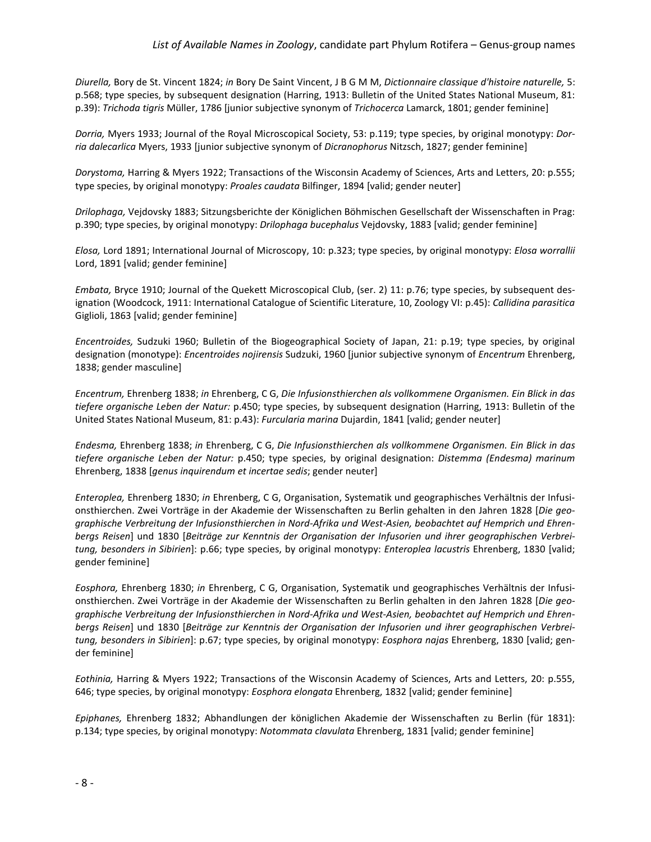*Diurella,* Bory de St. Vincent 1824; *in* Bory De Saint Vincent, J B G M M, *Dictionnaire classique d'histoire naturelle,* 5: p.568; type species, by subsequent designation (Harring, 1913: Bulletin of the United States National Museum, 81: p.39): *Trichoda tigris* Müller, 1786 [junior subjective synonym of *Trichocerca* Lamarck, 1801; gender feminine]

*Dorria,* Myers 1933; Journal of the Royal Microscopical Society, 53: p.119; type species, by original monotypy: *Dorria dalecarlica* Myers, 1933 [junior subjective synonym of *Dicranophorus* Nitzsch, 1827; gender feminine]

*Dorystoma,* Harring & Myers 1922; Transactions of the Wisconsin Academy of Sciences, Arts and Letters, 20: p.555; type species, by original monotypy: *Proales caudata* Bilfinger, 1894 [valid; gender neuter]

*Drilophaga,* Vejdovsky 1883; Sitzungsberichte der Königlichen Böhmischen Gesellschaft der Wissenschaften in Prag: p.390; type species, by original monotypy: *Drilophaga bucephalus* Vejdovsky, 1883 [valid; gender feminine]

*Elosa,* Lord 1891; International Journal of Microscopy, 10: p.323; type species, by original monotypy: *Elosa worrallii*  Lord, 1891 [valid; gender feminine]

*Embata,* Bryce 1910; Journal of the Quekett Microscopical Club, (ser. 2) 11: p.76; type species, by subsequent designation (Woodcock, 1911: [International Catalogue of Scientific Literature, 10, Zoology VI:](http://en.wikipedia.org/wiki/International_Catalogue_of_Scientific_Literature) p.45): *Callidina parasitica* Giglioli, 1863 [valid; gender feminine]

*Encentroides,* Sudzuki 1960; Bulletin of the Biogeographical Society of Japan, 21: p.19; type species, by original designation (monotype): *Encentroides nojirensis* Sudzuki, 1960 [junior subjective synonym of *Encentrum* Ehrenberg, 1838; gender masculine]

*Encentrum,* Ehrenberg 1838; *in* Ehrenberg, C G, *Die Infusionsthierchen als vollkommene Organismen. Ein Blick in das tiefere organische Leben der Natur:* p.450; type species, by subsequent designation (Harring, 1913: Bulletin of the United States National Museum, 81: p.43): *Furcularia marina* Dujardin, 1841 [valid; gender neuter]

*Endesma,* Ehrenberg 1838; *in* Ehrenberg, C G, *Die Infusionsthierchen als vollkommene Organismen. Ein Blick in das tiefere organische Leben der Natur:* p.450; type species, by original designation: *Distemma (Endesma) marinum* Ehrenberg, 1838 [*genus inquirendum et incertae sedis*; gender neuter]

*Enteroplea,* Ehrenberg 1830; *in* Ehrenberg, C G, Organisation, Systematik und geographisches Verhältnis der Infusionsthierchen. Zwei Vorträge in der Akademie der Wissenschaften zu Berlin gehalten in den Jahren 1828 [*Die geographische Verbreitung der Infusionsthierchen in Nord-Afrika und West-Asien, beobachtet auf Hemprich und Ehrenbergs Reisen*] und 1830 [*Beiträge zur Kenntnis der Organisation der Infusorien und ihrer geographischen Verbreitung, besonders in Sibirien*]: p.66; type species, by original monotypy: *Enteroplea lacustris* Ehrenberg, 1830 [valid; gender feminine]

*Eosphora,* Ehrenberg 1830; *in* Ehrenberg, C G, Organisation, Systematik und geographisches Verhältnis der Infusionsthierchen. Zwei Vorträge in der Akademie der Wissenschaften zu Berlin gehalten in den Jahren 1828 [*Die geographische Verbreitung der Infusionsthierchen in Nord-Afrika und West-Asien, beobachtet auf Hemprich und Ehrenbergs Reisen*] und 1830 [*Beiträge zur Kenntnis der Organisation der Infusorien und ihrer geographischen Verbreitung, besonders in Sibirien*]: p.67; type species, by original monotypy: *Eosphora najas* Ehrenberg, 1830 [valid; gender feminine]

*Eothinia,* Harring & Myers 1922; Transactions of the Wisconsin Academy of Sciences, Arts and Letters, 20: p.555, 646; type species, by original monotypy: *Eosphora elongata* Ehrenberg, 1832 [valid; gender feminine]

*Epiphanes,* Ehrenberg 1832; Abhandlungen der königlichen Akademie der Wissenschaften zu Berlin (für 1831): p.134; type species, by original monotypy: *Notommata clavulata* Ehrenberg, 1831 [valid; gender feminine]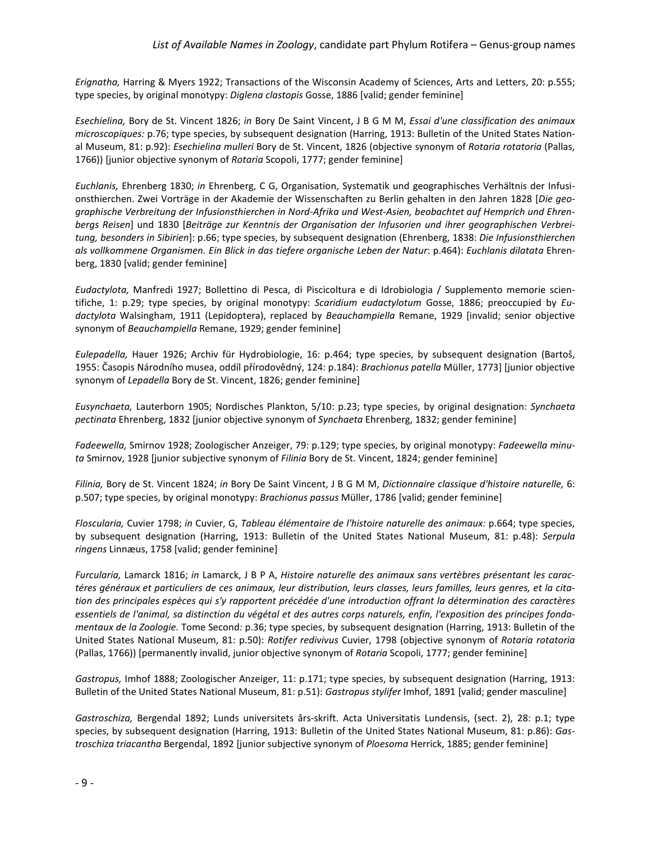*Erignatha,* Harring & Myers 1922; Transactions of the Wisconsin Academy of Sciences, Arts and Letters, 20: p.555; type species, by original monotypy: *Diglena clastopis* Gosse, 1886 [valid; gender feminine]

*Esechielina,* Bory de St. Vincent 1826; *in* Bory De Saint Vincent, J B G M M, *Essai d'une classification des animaux microscopiques:* p.76; type species, by subsequent designation (Harring, 1913: Bulletin of the United States National Museum, 81: p.92): *Esechielina mulleri* Bory de St. Vincent, 1826 (objective synonym of *Rotaria rotatoria* (Pallas, 1766)) [junior objective synonym of *Rotaria* Scopoli, 1777; gender feminine]

*Euchlanis,* Ehrenberg 1830; *in* Ehrenberg, C G, Organisation, Systematik und geographisches Verhältnis der Infusionsthierchen. Zwei Vorträge in der Akademie der Wissenschaften zu Berlin gehalten in den Jahren 1828 [*Die geographische Verbreitung der Infusionsthierchen in Nord-Afrika und West-Asien, beobachtet auf Hemprich und Ehrenbergs Reisen*] und 1830 [*Beiträge zur Kenntnis der Organisation der Infusorien und ihrer geographischen Verbreitung, besonders in Sibirien*]: p.66; type species, by subsequent designation (Ehrenberg, 1838: *Die Infusionsthierchen als vollkommene Organismen. Ein Blick in das tiefere organische Leben der Natur*: p.464): *Euchlanis dilatata* Ehrenberg, 1830 [valid; gender feminine]

*Eudactylota,* Manfredi 1927; Bollettino di Pesca, di Piscicoltura e di Idrobiologia / Supplemento memorie scientifiche, 1: p.29; type species, by original monotypy: *Scaridium eudactylotum* Gosse, 1886; preoccupied by *Eudactylota* Walsingham, 1911 (Lepidoptera), replaced by *Beauchampiella* Remane, 1929 [invalid; senior objective synonym of *Beauchampiella* Remane, 1929; gender feminine]

*Eulepadella,* Hauer 1926; Archiv für Hydrobiologie, 16: p.464; type species, by subsequent designation (Bartoš, 1955: Časopis Národního musea, oddíl přírodovědný, 124: p.184): *Brachionus patella* Müller, 1773] [junior objective synonym of *Lepadella* Bory de St. Vincent, 1826; gender feminine]

*Eusynchaeta,* Lauterborn 1905; Nordisches Plankton, 5/10: p.23; type species, by original designation: *Synchaeta pectinata* Ehrenberg, 1832 [junior objective synonym of *Synchaeta* Ehrenberg, 1832; gender feminine]

*Fadeewella,* Smirnov 1928; Zoologischer Anzeiger, 79: p.129; type species, by original monotypy: *Fadeewella minuta* Smirnov, 1928 [junior subjective synonym of *Filinia* Bory de St. Vincent, 1824; gender feminine]

*Filinia,* Bory de St. Vincent 1824; *in* Bory De Saint Vincent, J B G M M, *Dictionnaire classique d'histoire naturelle,* 6: p.507; type species, by original monotypy: *Brachionus passus* Müller, 1786 [valid; gender feminine]

*Floscularia,* Cuvier 1798; *in* Cuvier, G, *Tableau élémentaire de l'histoire naturelle des animaux:* p.664; type species, by subsequent designation (Harring, 1913: Bulletin of the United States National Museum, 81: p.48): *Serpula ringens* Linnæus, 1758 [valid; gender feminine]

*Furcularia,* Lamarck 1816; *in* Lamarck, J B P A, *Histoire naturelle des animaux sans vertèbres présentant les caractéres généraux et particuliers de ces animaux, leur distribution, leurs classes, leurs familles, leurs genres, et la citation des principales espèces qui s'y rapportent précédée d'une introduction offrant la détermination des caractères essentiels de l'animal, sa distinction du végétal et des autres corps naturels, enfin, l'exposition des principes fondamentaux de la Zoologie.* Tome Second*:* p.36; type species, by subsequent designation (Harring, 1913: Bulletin of the United States National Museum, 81: p.50): *Rotifer redivivus* Cuvier, 1798 (objective synonym of *Rotaria rotatoria* (Pallas, 1766)) [permanently invalid, junior objective synonym of *Rotaria* Scopoli, 1777; gender feminine]

*Gastropus,* Imhof 1888; Zoologischer Anzeiger, 11: p.171; type species, by subsequent designation (Harring, 1913: Bulletin of the United States National Museum, 81: p.51): *Gastropus stylifer* Imhof, 1891 [valid; gender masculine]

*Gastroschiza,* Bergendal 1892; Lunds universitets års-skrift. Acta Universitatis Lundensis, (sect. 2), 28: p.1; type species, by subsequent designation (Harring, 1913: Bulletin of the United States National Museum, 81: p.86): *Gastroschiza triacantha* Bergendal, 1892 [junior subjective synonym of *Ploesoma* Herrick, 1885; gender feminine]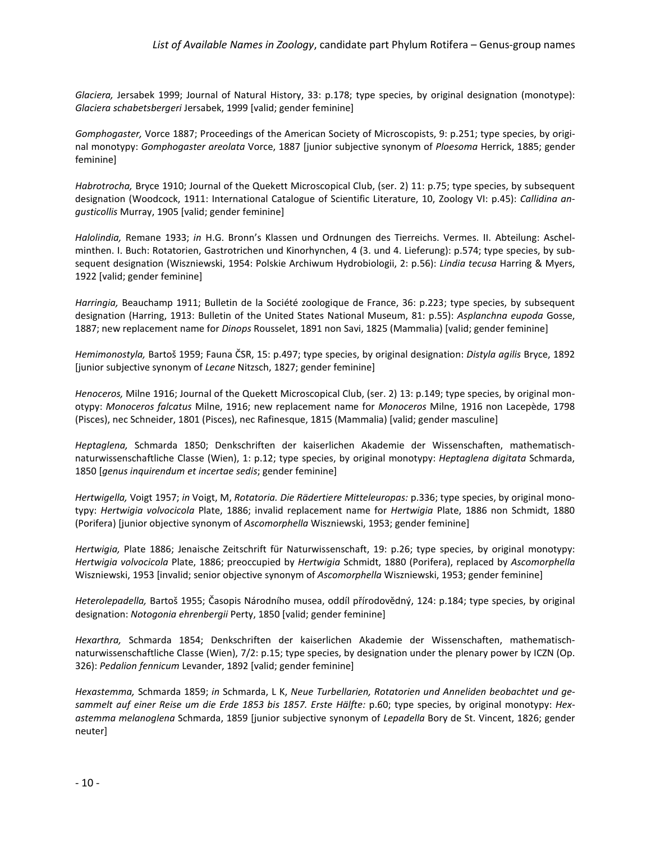*Glaciera,* Jersabek 1999; Journal of Natural History, 33: p.178; type species, by original designation (monotype): *Glaciera schabetsbergeri* Jersabek, 1999 [valid; gender feminine]

*Gomphogaster,* Vorce 1887; Proceedings of the American Society of Microscopists, 9: p.251; type species, by original monotypy: *Gomphogaster areolata* Vorce, 1887 [junior subjective synonym of *Ploesoma* Herrick, 1885; gender feminine]

*Habrotrocha,* Bryce 1910; Journal of the Quekett Microscopical Club, (ser. 2) 11: p.75; type species, by subsequent designation (Woodcock, 1911: [International Catalogue of Scientific Literature, 10, Zoology VI:](http://en.wikipedia.org/wiki/International_Catalogue_of_Scientific_Literature) p.45): *Callidina angusticollis* Murray, 1905 [valid; gender feminine]

*Halolindia,* Remane 1933; *in* H.G. Bronn's Klassen und Ordnungen des Tierreichs. Vermes. II. Abteilung: Aschelminthen. I. Buch: Rotatorien, Gastrotrichen und Kinorhynchen, 4 (3. und 4. Lieferung): p.574; type species, by subsequent designation (Wiszniewski, 1954: Polskie Archiwum Hydrobiologii, 2: p.56): *Lindia tecusa* Harring & Myers, 1922 [valid; gender feminine]

*Harringia,* Beauchamp 1911; Bulletin de la Société zoologique de France, 36: p.223; type species, by subsequent designation (Harring, 1913: Bulletin of the United States National Museum, 81: p.55): *Asplanchna eupoda* Gosse, 1887; new replacement name for *Dinops* Rousselet, 1891 non Savi, 1825 (Mammalia) [valid; gender feminine]

*Hemimonostyla,* Bartoš 1959; Fauna ČSR, 15: p.497; type species, by original designation: *Distyla agilis* Bryce, 1892 [junior subjective synonym of *Lecane* Nitzsch, 1827; gender feminine]

*Henoceros,* Milne 1916; Journal of the Quekett Microscopical Club, (ser. 2) 13: p.149; type species, by original monotypy: *Monoceros falcatus* Milne, 1916; new replacement name for *Monoceros* Milne, 1916 non Lacepède, 1798 (Pisces), nec Schneider, 1801 (Pisces), nec Rafinesque, 1815 (Mammalia) [valid; gender masculine]

*Heptaglena,* Schmarda 1850; Denkschriften der kaiserlichen Akademie der Wissenschaften, mathematischnaturwissenschaftliche Classe (Wien), 1: p.12; type species, by original monotypy: *Heptaglena digitata* Schmarda, 1850 [*genus inquirendum et incertae sedis*; gender feminine]

*Hertwigella,* Voigt 1957; *in* Voigt, M, *Rotatoria. Die Rädertiere Mitteleuropas:* p.336; type species, by original monotypy: *Hertwigia volvocicola* Plate, 1886; invalid replacement name for *Hertwigia* Plate, 1886 non Schmidt, 1880 (Porifera) [junior objective synonym of *Ascomorphella* Wiszniewski, 1953; gender feminine]

*Hertwigia,* Plate 1886; Jenaische Zeitschrift für Naturwissenschaft, 19: p.26; type species, by original monotypy: *Hertwigia volvocicola* Plate, 1886; preoccupied by *Hertwigia* Schmidt, 1880 (Porifera), replaced by *Ascomorphella* Wiszniewski, 1953 [invalid; senior objective synonym of *Ascomorphella* Wiszniewski, 1953; gender feminine]

*Heterolepadella,* Bartoš 1955; Časopis Národního musea, oddíl přírodovědný, 124: p.184; type species, by original designation: *Notogonia ehrenbergii* Perty, 1850 [valid; gender feminine]

*Hexarthra,* Schmarda 1854; Denkschriften der kaiserlichen Akademie der Wissenschaften, mathematischnaturwissenschaftliche Classe (Wien), 7/2: p.15; type species, by designation under the plenary power by ICZN (Op. 326): *Pedalion fennicum* Levander, 1892 [valid; gender feminine]

*Hexastemma,* Schmarda 1859; *in* Schmarda, L K, *Neue Turbellarien, Rotatorien und Anneliden beobachtet und gesammelt auf einer Reise um die Erde 1853 bis 1857. Erste Hälfte:* p.60; type species, by original monotypy: *Hexastemma melanoglena* Schmarda, 1859 [junior subjective synonym of *Lepadella* Bory de St. Vincent, 1826; gender neuter]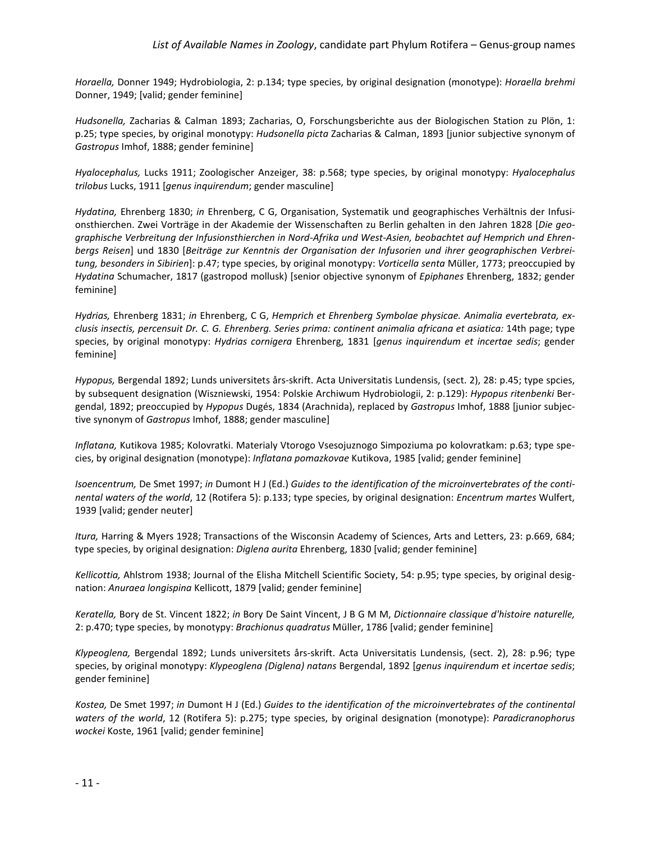*Horaella,* Donner 1949; Hydrobiologia, 2: p.134; type species, by original designation (monotype): *Horaella brehmi* Donner, 1949; [valid; gender feminine]

*Hudsonella,* Zacharias & Calman 1893; Zacharias, O, Forschungsberichte aus der Biologischen Station zu Plön, 1: p.25; type species, by original monotypy: *Hudsonella picta* Zacharias & Calman, 1893 [junior subjective synonym of *Gastropus* Imhof, 1888; gender feminine]

*Hyalocephalus,* Lucks 1911; Zoologischer Anzeiger, 38: p.568; type species, by original monotypy: *Hyalocephalus trilobus* Lucks, 1911 [*genus inquirendum*; gender masculine]

*Hydatina,* Ehrenberg 1830; *in* Ehrenberg, C G, Organisation, Systematik und geographisches Verhältnis der Infusionsthierchen. Zwei Vorträge in der Akademie der Wissenschaften zu Berlin gehalten in den Jahren 1828 [*Die geographische Verbreitung der Infusionsthierchen in Nord-Afrika und West-Asien, beobachtet auf Hemprich und Ehrenbergs Reisen*] und 1830 [*Beiträge zur Kenntnis der Organisation der Infusorien und ihrer geographischen Verbreitung, besonders in Sibirien*]: p.47; type species, by original monotypy: *Vorticella senta* Müller, 1773; preoccupied by *Hydatina* Schumacher, 1817 (gastropod mollusk) [senior objective synonym of *Epiphanes* Ehrenberg, 1832; gender feminine]

*Hydrias,* Ehrenberg 1831; *in* Ehrenberg, C G, *Hemprich et Ehrenberg Symbolae physicae. Animalia evertebrata, exclusis insectis, percensuit Dr. C. G. Ehrenberg. Series prima: continent animalia africana et asiatica:* 14th page; type species, by original monotypy: *Hydrias cornigera* Ehrenberg, 1831 [*genus inquirendum et incertae sedis*; gender feminine]

*Hypopus,* Bergendal 1892; Lunds universitets års-skrift. Acta Universitatis Lundensis, (sect. 2), 28: p.45; type spcies, by subsequent designation (Wiszniewski, 1954: Polskie Archiwum Hydrobiologii, 2: p.129): *Hypopus ritenbenki* Bergendal, 1892; preoccupied by *Hypopus* Dugés, 1834 (Arachnida), replaced by *Gastropus* Imhof, 1888 [junior subjective synonym of *Gastropus* Imhof, 1888; gender masculine]

*Inflatana,* Kutikova 1985; Kolovratki. Materialy Vtorogo Vsesojuznogo Simpoziuma po kolovratkam: p.63; type species, by original designation (monotype): *Inflatana pomazkovae* Kutikova, 1985 [valid; gender feminine]

*Isoencentrum,* De Smet 1997; *in* Dumont H J (Ed.) *Guides to the identification of the microinvertebrates of the continental waters of the world*, 12 (Rotifera 5): p.133; type species, by original designation: *Encentrum martes* Wulfert, 1939 [valid; gender neuter]

*Itura,* Harring & Myers 1928; Transactions of the Wisconsin Academy of Sciences, Arts and Letters, 23: p.669, 684; type species, by original designation: *Diglena aurita* Ehrenberg, 1830 [valid; gender feminine]

*Kellicottia,* Ahlstrom 1938; Journal of the Elisha Mitchell Scientific Society, 54: p.95; type species, by original designation: *Anuraea longispina* Kellicott, 1879 [valid; gender feminine]

*Keratella,* Bory de St. Vincent 1822; *in* Bory De Saint Vincent, J B G M M, *Dictionnaire classique d'histoire naturelle,* 2: p.470; type species, by monotypy: *Brachionus quadratus* Müller, 1786 [valid; gender feminine]

*Klypeoglena,* Bergendal 1892; Lunds universitets års-skrift. Acta Universitatis Lundensis, (sect. 2), 28: p.96; type species, by original monotypy: *Klypeoglena (Diglena) natans* Bergendal, 1892 [*genus inquirendum et incertae sedis*; gender feminine]

*Kostea,* De Smet 1997; *in* Dumont H J (Ed.) *Guides to the identification of the microinvertebrates of the continental waters of the world*, 12 (Rotifera 5): p.275; type species, by original designation (monotype): *Paradicranophorus wockei* Koste, 1961 [valid; gender feminine]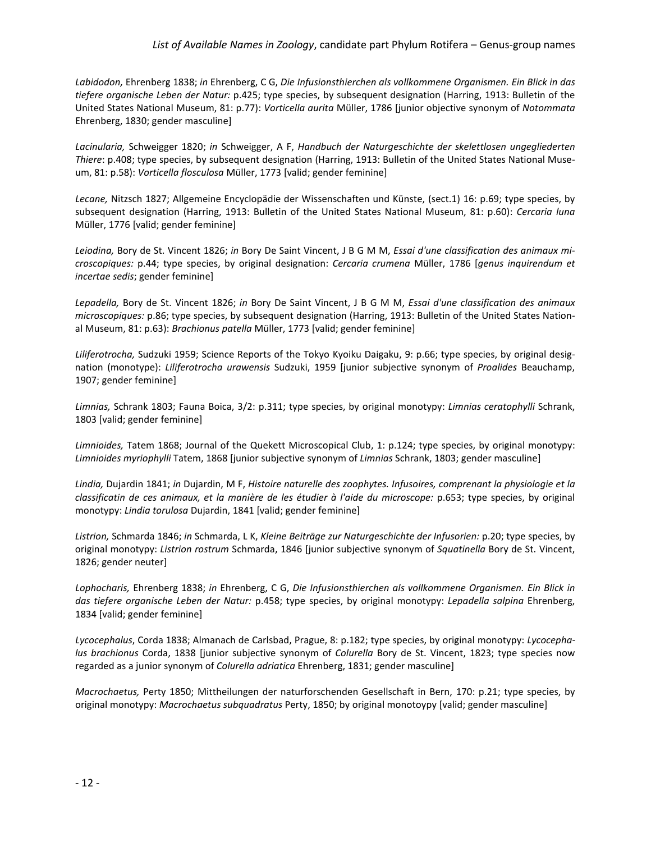*Labidodon,* Ehrenberg 1838; *in* Ehrenberg, C G, *Die Infusionsthierchen als vollkommene Organismen. Ein Blick in das tiefere organische Leben der Natur:* p.425; type species, by subsequent designation (Harring, 1913: Bulletin of the United States National Museum, 81: p.77): *Vorticella aurita* Müller, 1786 [junior objective synonym of *Notommata* Ehrenberg, 1830; gender masculine]

*Lacinularia,* Schweigger 1820; *in* Schweigger, A F, *Handbuch der Naturgeschichte der skelettlosen ungegliederten Thiere*: p.408; type species, by subsequent designation (Harring, 1913: Bulletin of the United States National Museum, 81: p.58): *Vorticella flosculosa* Müller, 1773 [valid; gender feminine]

*Lecane,* Nitzsch 1827; Allgemeine Encyclopädie der Wissenschaften und Künste, (sect.1) 16: p.69; type species, by subsequent designation (Harring, 1913: Bulletin of the United States National Museum, 81: p.60): *Cercaria luna* Müller, 1776 [valid; gender feminine]

*Leiodina,* Bory de St. Vincent 1826; *in* Bory De Saint Vincent, J B G M M, *Essai d'une classification des animaux microscopiques:* p.44; type species, by original designation: *Cercaria crumena* Müller, 1786 [*genus inquirendum et incertae sedis*; gender feminine]

*Lepadella,* Bory de St. Vincent 1826; *in* Bory De Saint Vincent, J B G M M, *Essai d'une classification des animaux microscopiques:* p.86; type species, by subsequent designation (Harring, 1913: Bulletin of the United States National Museum, 81: p.63): *Brachionus patella* Müller, 1773 [valid; gender feminine]

*Liliferotrocha,* Sudzuki 1959; Science Reports of the Tokyo Kyoiku Daigaku, 9: p.66; type species, by original designation (monotype): *Liliferotrocha urawensis* Sudzuki, 1959 [junior subjective synonym of *Proalides* Beauchamp, 1907; gender feminine]

*Limnias,* Schrank 1803; Fauna Boica, 3/2: p.311; type species, by original monotypy: *Limnias ceratophylli* Schrank, 1803 [valid; gender feminine]

*Limnioides,* Tatem 1868; Journal of the Quekett Microscopical Club, 1: p.124; type species, by original monotypy: *Limnioides myriophylli* Tatem, 1868 [junior subjective synonym of *Limnias* Schrank, 1803; gender masculine]

*Lindia,* Dujardin 1841; *in* Dujardin, M F, *Histoire naturelle des zoophytes. Infusoires, comprenant la physiologie et la classificatin de ces animaux, et la manière de les étudier à l'aide du microscope:* p.653; type species, by original monotypy: *Lindia torulosa* Dujardin, 1841 [valid; gender feminine]

*Listrion,* Schmarda 1846; *in* Schmarda, L K, *Kleine Beiträge zur Naturgeschichte der Infusorien:* p.20; type species, by original monotypy: *Listrion rostrum* Schmarda, 1846 [junior subjective synonym of *Squatinella* Bory de St. Vincent, 1826; gender neuter]

*Lophocharis,* Ehrenberg 1838; *in* Ehrenberg, C G, *Die Infusionsthierchen als vollkommene Organismen. Ein Blick in das tiefere organische Leben der Natur:* p.458; type species, by original monotypy: *Lepadella salpina* Ehrenberg, 1834 [valid; gender feminine]

*Lycocephalus*, Corda 1838; Almanach de Carlsbad, Prague, 8: p.182; type species, by original monotypy: *Lycocephalus brachionus* Corda, 1838 [junior subjective synonym of *Colurella* Bory de St. Vincent, 1823; type species now regarded as a junior synonym of *Colurella adriatica* Ehrenberg, 1831; gender masculine]

*Macrochaetus,* Perty 1850; Mittheilungen der naturforschenden Gesellschaft in Bern, 170: p.21; type species, by original monotypy: *Macrochaetus subquadratus* Perty, 1850; by original monotoypy [valid; gender masculine]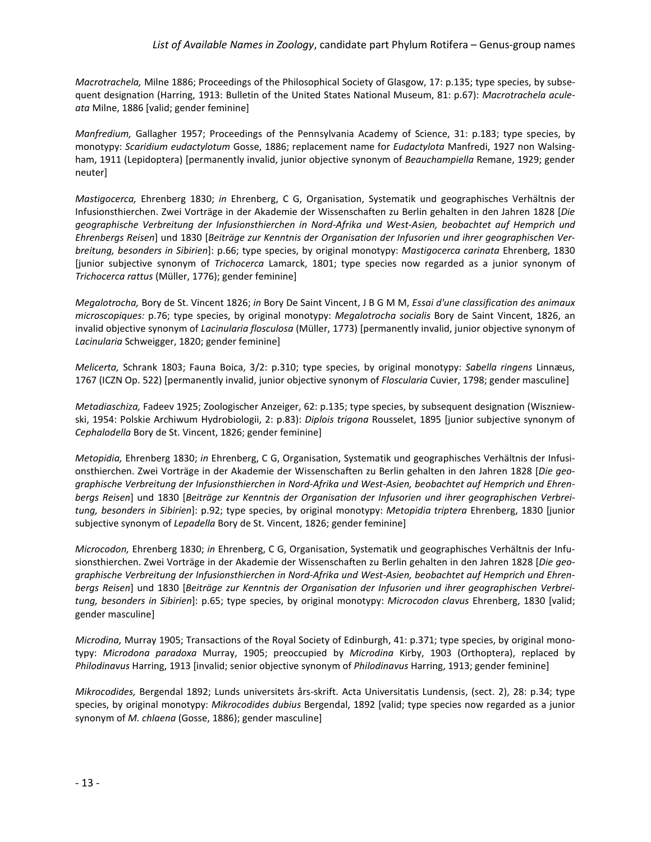#### *List of Available Names in Zoology*, candidate part Phylum Rotifera – Genus-group names

*Macrotrachela,* Milne 1886; Proceedings of the Philosophical Society of Glasgow, 17: p.135; type species, by subsequent designation (Harring, 1913: Bulletin of the United States National Museum, 81: p.67): *Macrotrachela aculeata* Milne, 1886 [valid; gender feminine]

*Manfredium,* Gallagher 1957; Proceedings of the Pennsylvania Academy of Science, 31: p.183; type species, by monotypy: *Scaridium eudactylotum* Gosse, 1886; replacement name for *Eudactylota* Manfredi, 1927 non Walsingham, 1911 (Lepidoptera) [permanently invalid, junior objective synonym of *Beauchampiella* Remane, 1929; gender neuter]

*Mastigocerca,* Ehrenberg 1830; *in* Ehrenberg, C G, Organisation, Systematik und geographisches Verhältnis der Infusionsthierchen. Zwei Vorträge in der Akademie der Wissenschaften zu Berlin gehalten in den Jahren 1828 [*Die geographische Verbreitung der Infusionsthierchen in Nord-Afrika und West-Asien, beobachtet auf Hemprich und Ehrenbergs Reisen*] und 1830 [*Beiträge zur Kenntnis der Organisation der Infusorien und ihrer geographischen Verbreitung, besonders in Sibirien*]: p.66; type species, by original monotypy: *Mastigocerca carinata* Ehrenberg, 1830 [junior subjective synonym of *Trichocerca* Lamarck, 1801; type species now regarded as a junior synonym of *Trichocerca rattus* (Müller, 1776); gender feminine]

*Megalotrocha,* Bory de St. Vincent 1826; *in* Bory De Saint Vincent, J B G M M, *Essai d'une classification des animaux microscopiques:* p.76; type species, by original monotypy: *Megalotrocha socialis* Bory de Saint Vincent, 1826, an invalid objective synonym of *Lacinularia flosculosa* (Müller, 1773) [permanently invalid, junior objective synonym of *Lacinularia* Schweigger, 1820; gender feminine]

*Melicerta,* Schrank 1803; Fauna Boica, 3/2: p.310; type species, by original monotypy: *Sabella ringens* Linnæus, 1767 (ICZN Op. 522) [permanently invalid, junior objective synonym of *Floscularia* Cuvier, 1798; gender masculine]

*Metadiaschiza,* Fadeev 1925; Zoologischer Anzeiger, 62: p.135; type species, by subsequent designation (Wiszniewski, 1954: Polskie Archiwum Hydrobiologii, 2: p.83): *Diplois trigona* Rousselet, 1895 [junior subjective synonym of *Cephalodella* Bory de St. Vincent, 1826; gender feminine]

*Metopidia,* Ehrenberg 1830; *in* Ehrenberg, C G, Organisation, Systematik und geographisches Verhältnis der Infusionsthierchen. Zwei Vorträge in der Akademie der Wissenschaften zu Berlin gehalten in den Jahren 1828 [*Die geographische Verbreitung der Infusionsthierchen in Nord-Afrika und West-Asien, beobachtet auf Hemprich und Ehrenbergs Reisen*] und 1830 [*Beiträge zur Kenntnis der Organisation der Infusorien und ihrer geographischen Verbreitung, besonders in Sibirien*]: p.92; type species, by original monotypy: *Metopidia triptera* Ehrenberg, 1830 [junior subjective synonym of *Lepadella* Bory de St. Vincent, 1826; gender feminine]

*Microcodon,* Ehrenberg 1830; *in* Ehrenberg, C G, Organisation, Systematik und geographisches Verhältnis der Infusionsthierchen. Zwei Vorträge in der Akademie der Wissenschaften zu Berlin gehalten in den Jahren 1828 [*Die geographische Verbreitung der Infusionsthierchen in Nord-Afrika und West-Asien, beobachtet auf Hemprich und Ehrenbergs Reisen*] und 1830 [*Beiträge zur Kenntnis der Organisation der Infusorien und ihrer geographischen Verbreitung, besonders in Sibirien*]: p.65; type species, by original monotypy: *Microcodon clavus* Ehrenberg, 1830 [valid; gender masculine]

*Microdina,* Murray 1905; Transactions of the Royal Society of Edinburgh, 41: p.371; type species, by original monotypy: *Microdona paradoxa* Murray, 1905; preoccupied by *Microdina* Kirby, 1903 (Orthoptera), replaced by *Philodinavus* Harring, 1913 [invalid; senior objective synonym of *Philodinavus* Harring, 1913; gender feminine]

*Mikrocodides,* Bergendal 1892; Lunds universitets års-skrift. Acta Universitatis Lundensis, (sect. 2), 28: p.34; type species, by original monotypy: *Mikrocodides dubius* Bergendal, 1892 [valid; type species now regarded as a junior synonym of *M. chlaena* (Gosse, 1886); gender masculine]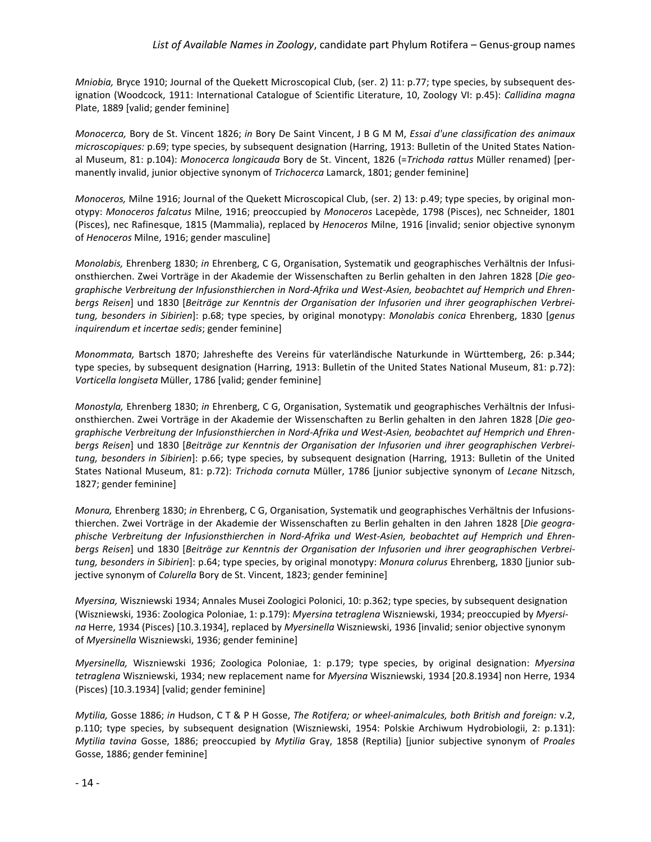*Mniobia,* Bryce 1910; Journal of the Quekett Microscopical Club, (ser. 2) 11: p.77; type species, by subsequent designation (Woodcock, 1911: [International Catalogue of Scientific Literature, 10, Zoology VI:](http://en.wikipedia.org/wiki/International_Catalogue_of_Scientific_Literature) p.45): *Callidina magna* Plate, 1889 [valid; gender feminine]

*Monocerca,* Bory de St. Vincent 1826; *in* Bory De Saint Vincent, J B G M M, *Essai d'une classification des animaux microscopiques:* p.69; type species, by subsequent designation (Harring, 1913: Bulletin of the United States National Museum, 81: p.104): *Monocerca longicauda* Bory de St. Vincent, 1826 (=*Trichoda rattus* Müller renamed) [permanently invalid, junior objective synonym of *Trichocerca* Lamarck, 1801; gender feminine]

*Monoceros,* Milne 1916; Journal of the Quekett Microscopical Club, (ser. 2) 13: p.49; type species, by original monotypy: *Monoceros falcatus* Milne, 1916; preoccupied by *Monoceros* Lacepède, 1798 (Pisces), nec Schneider, 1801 (Pisces), nec Rafinesque, 1815 (Mammalia), replaced by *Henoceros* Milne, 1916 [invalid; senior objective synonym of *Henoceros* Milne, 1916; gender masculine]

*Monolabis,* Ehrenberg 1830; *in* Ehrenberg, C G, Organisation, Systematik und geographisches Verhältnis der Infusionsthierchen. Zwei Vorträge in der Akademie der Wissenschaften zu Berlin gehalten in den Jahren 1828 [*Die geographische Verbreitung der Infusionsthierchen in Nord-Afrika und West-Asien, beobachtet auf Hemprich und Ehrenbergs Reisen*] und 1830 [*Beiträge zur Kenntnis der Organisation der Infusorien und ihrer geographischen Verbreitung, besonders in Sibirien*]: p.68; type species, by original monotypy: *Monolabis conica* Ehrenberg, 1830 [*genus inquirendum et incertae sedis*; gender feminine]

*Monommata,* Bartsch 1870; Jahreshefte des Vereins für vaterländische Naturkunde in Württemberg, 26: p.344; type species, by subsequent designation (Harring, 1913: Bulletin of the United States National Museum, 81: p.72): *Vorticella longiseta* Müller, 1786 [valid; gender feminine]

*Monostyla,* Ehrenberg 1830; *in* Ehrenberg, C G, Organisation, Systematik und geographisches Verhältnis der Infusionsthierchen. Zwei Vorträge in der Akademie der Wissenschaften zu Berlin gehalten in den Jahren 1828 [*Die geographische Verbreitung der Infusionsthierchen in Nord-Afrika und West-Asien, beobachtet auf Hemprich und Ehrenbergs Reisen*] und 1830 [*Beiträge zur Kenntnis der Organisation der Infusorien und ihrer geographischen Verbreitung, besonders in Sibirien*]: p.66; type species, by subsequent designation (Harring, 1913: Bulletin of the United States National Museum, 81: p.72): *Trichoda cornuta* Müller, 1786 [junior subjective synonym of *Lecane* Nitzsch, 1827; gender feminine]

*Monura,* Ehrenberg 1830; *in* Ehrenberg, C G, Organisation, Systematik und geographisches Verhältnis der Infusionsthierchen. Zwei Vorträge in der Akademie der Wissenschaften zu Berlin gehalten in den Jahren 1828 [*Die geographische Verbreitung der Infusionsthierchen in Nord-Afrika und West-Asien, beobachtet auf Hemprich und Ehrenbergs Reisen*] und 1830 [*Beiträge zur Kenntnis der Organisation der Infusorien und ihrer geographischen Verbreitung, besonders in Sibirien*]: p.64; type species, by original monotypy: *Monura colurus* Ehrenberg, 1830 [junior subjective synonym of *Colurella* Bory de St. Vincent, 1823; gender feminine]

*Myersina,* Wiszniewski 1934; Annales Musei Zoologici Polonici, 10: p.362; type species, by subsequent designation (Wiszniewski, 1936: Zoologica Poloniae, 1: p.179): *Myersina tetraglena* Wiszniewski, 1934; preoccupied by *Myersina* Herre, 1934 (Pisces) [10.3.1934], replaced by *Myersinella* Wiszniewski, 1936 [invalid; senior objective synonym of *Myersinella* Wiszniewski, 1936; gender feminine]

*Myersinella,* Wiszniewski 1936; Zoologica Poloniae, 1: p.179; type species, by original designation: *Myersina tetraglena* Wiszniewski, 1934; new replacement name for *Myersina* Wiszniewski, 1934 [20.8.1934] non Herre, 1934 (Pisces) [10.3.1934] [valid; gender feminine]

*Mytilia,* Gosse 1886; *in* Hudson, C T & P H Gosse, *The Rotifera; or wheel-animalcules, both British and foreign:* v.2, p.110; type species, by subsequent designation (Wiszniewski, 1954: Polskie Archiwum Hydrobiologii, 2: p.131): *Mytilia tavina* Gosse, 1886; preoccupied by *Mytilia* Gray, 1858 (Reptilia) [junior subjective synonym of *Proales* Gosse, 1886; gender feminine]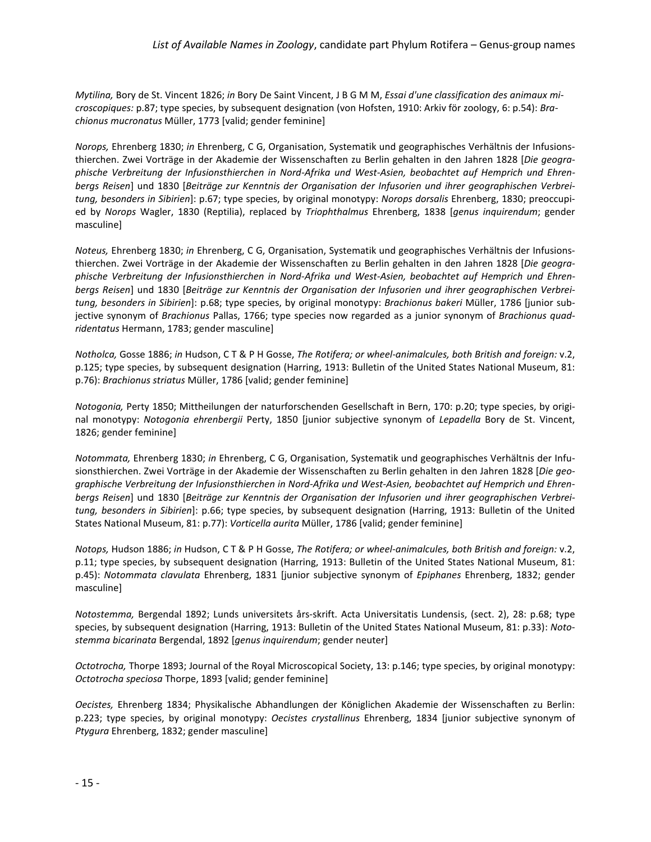*Mytilina,* Bory de St. Vincent 1826; *in* Bory De Saint Vincent, J B G M M, *Essai d'une classification des animaux microscopiques:* p.87; type species, by subsequent designation (von Hofsten, 1910: Arkiv för zoology, 6: p.54): *Brachionus mucronatus* Müller, 1773 [valid; gender feminine]

*Norops,* Ehrenberg 1830; *in* Ehrenberg, C G, Organisation, Systematik und geographisches Verhältnis der Infusionsthierchen. Zwei Vorträge in der Akademie der Wissenschaften zu Berlin gehalten in den Jahren 1828 [*Die geographische Verbreitung der Infusionsthierchen in Nord-Afrika und West-Asien, beobachtet auf Hemprich und Ehrenbergs Reisen*] und 1830 [*Beiträge zur Kenntnis der Organisation der Infusorien und ihrer geographischen Verbreitung, besonders in Sibirien*]: p.67; type species, by original monotypy: *Norops dorsalis* Ehrenberg, 1830; preoccupied by *Norops* Wagler, 1830 (Reptilia), replaced by *Triophthalmus* Ehrenberg, 1838 [*genus inquirendum*; gender masculine]

*Noteus,* Ehrenberg 1830; *in* Ehrenberg, C G, Organisation, Systematik und geographisches Verhältnis der Infusionsthierchen. Zwei Vorträge in der Akademie der Wissenschaften zu Berlin gehalten in den Jahren 1828 [*Die geographische Verbreitung der Infusionsthierchen in Nord-Afrika und West-Asien, beobachtet auf Hemprich und Ehrenbergs Reisen*] und 1830 [*Beiträge zur Kenntnis der Organisation der Infusorien und ihrer geographischen Verbreitung, besonders in Sibirien*]: p.68; type species, by original monotypy: *Brachionus bakeri* Müller, 1786 [junior subjective synonym of *Brachionus* Pallas, 1766; type species now regarded as a junior synonym of *Brachionus quadridentatus* Hermann, 1783; gender masculine]

*Notholca,* Gosse 1886; *in* Hudson, C T & P H Gosse, *The Rotifera; or wheel-animalcules, both British and foreign:* v.2, p.125; type species, by subsequent designation (Harring, 1913: Bulletin of the United States National Museum, 81: p.76): *Brachionus striatus* Müller, 1786 [valid; gender feminine]

*Notogonia,* Perty 1850; Mittheilungen der naturforschenden Gesellschaft in Bern, 170: p.20; type species, by original monotypy: *Notogonia ehrenbergii* Perty, 1850 [junior subjective synonym of *Lepadella* Bory de St. Vincent, 1826; gender feminine]

*Notommata,* Ehrenberg 1830; *in* Ehrenberg, C G, Organisation, Systematik und geographisches Verhältnis der Infusionsthierchen. Zwei Vorträge in der Akademie der Wissenschaften zu Berlin gehalten in den Jahren 1828 [*Die geographische Verbreitung der Infusionsthierchen in Nord-Afrika und West-Asien, beobachtet auf Hemprich und Ehrenbergs Reisen*] und 1830 [*Beiträge zur Kenntnis der Organisation der Infusorien und ihrer geographischen Verbreitung, besonders in Sibirien*]: p.66; type species, by subsequent designation (Harring, 1913: Bulletin of the United States National Museum, 81: p.77): *Vorticella aurita* Müller, 1786 [valid; gender feminine]

*Notops,* Hudson 1886; *in* Hudson, C T & P H Gosse, *The Rotifera; or wheel-animalcules, both British and foreign:* v.2, p.11; type species, by subsequent designation (Harring, 1913: Bulletin of the United States National Museum, 81: p.45): *Notommata clavulata* Ehrenberg, 1831 [junior subjective synonym of *Epiphanes* Ehrenberg, 1832; gender masculine]

*Notostemma,* Bergendal 1892; Lunds universitets års-skrift. Acta Universitatis Lundensis, (sect. 2), 28: p.68; type species, by subsequent designation (Harring, 1913: Bulletin of the United States National Museum, 81: p.33): *Notostemma bicarinata* Bergendal, 1892 [*genus inquirendum*; gender neuter]

*Octotrocha,* Thorpe 1893; Journal of the Royal Microscopical Society, 13: p.146; type species, by original monotypy: *Octotrocha speciosa* Thorpe, 1893 [valid; gender feminine]

*Oecistes,* Ehrenberg 1834; Physikalische Abhandlungen der Königlichen Akademie der Wissenschaften zu Berlin: p.223; type species, by original monotypy: *Oecistes crystallinus* Ehrenberg, 1834 [junior subjective synonym of *Ptygura* Ehrenberg, 1832; gender masculine]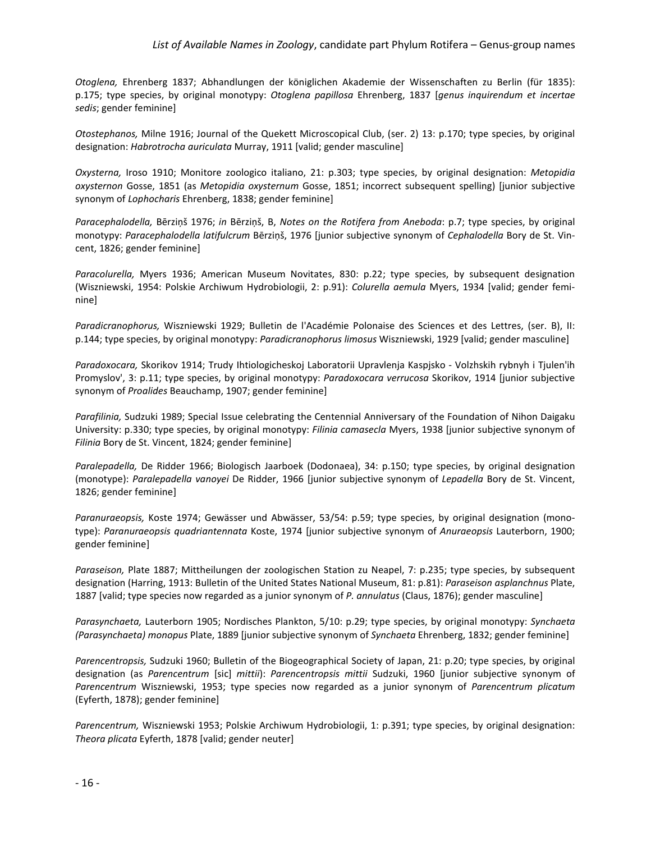#### *List of Available Names in Zoology*, candidate part Phylum Rotifera – Genus-group names

*Otoglena,* Ehrenberg 1837; Abhandlungen der königlichen Akademie der Wissenschaften zu Berlin (für 1835): p.175; type species, by original monotypy: *Otoglena papillosa* Ehrenberg, 1837 [*genus inquirendum et incertae sedis*; gender feminine]

*Otostephanos,* Milne 1916; Journal of the Quekett Microscopical Club, (ser. 2) 13: p.170; type species, by original designation: *Habrotrocha auriculata* Murray, 1911 [valid; gender masculine]

*Oxysterna,* Iroso 1910; Monitore zoologico italiano, 21: p.303; type species, by original designation: *Metopidia oxysternon* Gosse, 1851 (as *Metopidia oxysternum* Gosse, 1851; incorrect subsequent spelling) [junior subjective synonym of *Lophocharis* Ehrenberg, 1838; gender feminine]

*Paracephalodella,* Bērziņš 1976; *in* Bērziņš, B, *Notes on the Rotifera from Aneboda*: p.7; type species, by original monotypy: *Paracephalodella latifulcrum* Bērziņš, 1976 [junior subjective synonym of *Cephalodella* Bory de St. Vincent, 1826; gender feminine]

*Paracolurella,* Myers 1936; American Museum Novitates, 830: p.22; type species, by subsequent designation (Wiszniewski, 1954: Polskie Archiwum Hydrobiologii, 2: p.91): *Colurella aemula* Myers, 1934 [valid; gender feminine]

*Paradicranophorus,* Wiszniewski 1929; Bulletin de l'Académie Polonaise des Sciences et des Lettres, (ser. B), II: p.144; type species, by original monotypy: *Paradicranophorus limosus* Wiszniewski, 1929 [valid; gender masculine]

*Paradoxocara,* Skorikov 1914; Trudy Ihtiologicheskoj Laboratorii Upravlenja Kaspjsko - Volzhskih rybnyh i Tjulen'ih Promyslov', 3: p.11; type species, by original monotypy: *Paradoxocara verrucosa* Skorikov, 1914 [junior subjective synonym of *Proalides* Beauchamp, 1907; gender feminine]

*Parafilinia,* Sudzuki 1989; Special Issue celebrating the Centennial Anniversary of the Foundation of Nihon Daigaku University: p.330; type species, by original monotypy: *Filinia camasecla* Myers, 1938 [junior subjective synonym of *Filinia* Bory de St. Vincent, 1824; gender feminine]

*Paralepadella,* De Ridder 1966; Biologisch Jaarboek (Dodonaea), 34: p.150; type species, by original designation (monotype): *Paralepadella vanoyei* De Ridder, 1966 [junior subjective synonym of *Lepadella* Bory de St. Vincent, 1826; gender feminine]

*Paranuraeopsis,* Koste 1974; Gewässer und Abwässer, 53/54: p.59; type species, by original designation (monotype): *Paranuraeopsis quadriantennata* Koste, 1974 [junior subjective synonym of *Anuraeopsis* Lauterborn, 1900; gender feminine]

*Paraseison,* Plate 1887; Mittheilungen der zoologischen Station zu Neapel, 7: p.235; type species, by subsequent designation (Harring, 1913: Bulletin of the United States National Museum, 81: p.81): *Paraseison asplanchnus* Plate, 1887 [valid; type species now regarded as a junior synonym of *P. annulatus* (Claus, 1876); gender masculine]

*Parasynchaeta,* Lauterborn 1905; Nordisches Plankton, 5/10: p.29; type species, by original monotypy: *Synchaeta (Parasynchaeta) monopus* Plate, 1889 [junior subjective synonym of *Synchaeta* Ehrenberg, 1832; gender feminine]

*Parencentropsis,* Sudzuki 1960; Bulletin of the Biogeographical Society of Japan, 21: p.20; type species, by original designation (as *Parencentrum* [sic] *mittii*): *Parencentropsis mittii* Sudzuki, 1960 [junior subjective synonym of *Parencentrum* Wiszniewski, 1953; type species now regarded as a junior synonym of *Parencentrum plicatum* (Eyferth, 1878); gender feminine]

*Parencentrum,* Wiszniewski 1953; Polskie Archiwum Hydrobiologii, 1: p.391; type species, by original designation: *Theora plicata* Eyferth, 1878 [valid; gender neuter]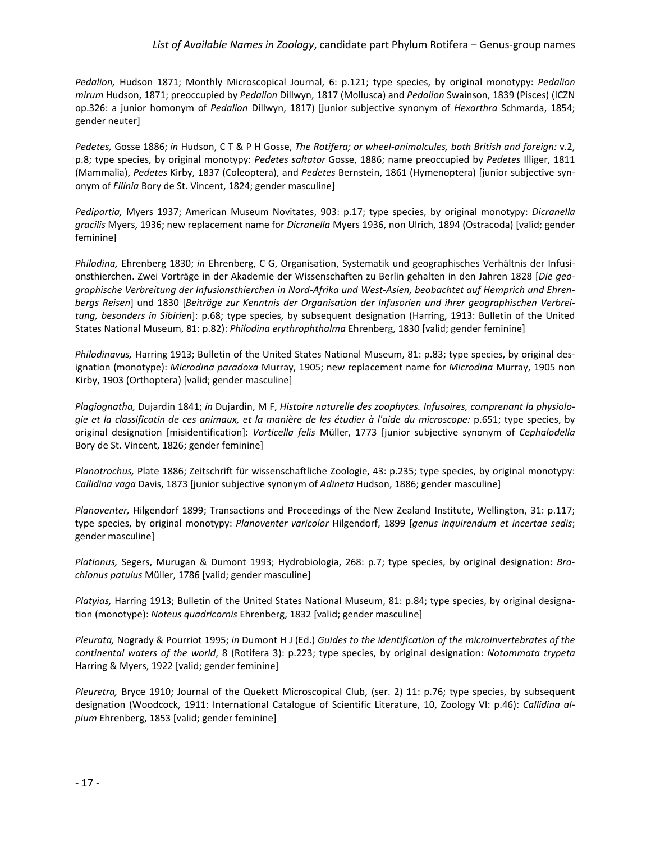*Pedalion,* Hudson 1871; Monthly Microscopical Journal, 6: p.121; type species, by original monotypy: *Pedalion mirum* Hudson, 1871; preoccupied by *Pedalion* Dillwyn, 1817 (Mollusca) and *Pedalion* Swainson, 1839 (Pisces) (ICZN op.326: a junior homonym of *Pedalion* Dillwyn, 1817) [junior subjective synonym of *Hexarthra* Schmarda, 1854; gender neuter]

*Pedetes,* Gosse 1886; *in* Hudson, C T & P H Gosse, *The Rotifera; or wheel-animalcules, both British and foreign:* v.2, p.8; type species, by original monotypy: *Pedetes saltator* Gosse, 1886; name preoccupied by *Pedetes* Illiger, 1811 (Mammalia), *Pedetes* Kirby, 1837 (Coleoptera), and *Pedetes* Bernstein, 1861 (Hymenoptera) [junior subjective synonym of *Filinia* Bory de St. Vincent, 1824; gender masculine]

*Pedipartia,* Myers 1937; American Museum Novitates, 903: p.17; type species, by original monotypy: *Dicranella gracilis* Myers, 1936; new replacement name for *Dicranella* Myers 1936, non Ulrich, 1894 (Ostracoda) [valid; gender feminine]

*Philodina,* Ehrenberg 1830; *in* Ehrenberg, C G, Organisation, Systematik und geographisches Verhältnis der Infusionsthierchen. Zwei Vorträge in der Akademie der Wissenschaften zu Berlin gehalten in den Jahren 1828 [*Die geographische Verbreitung der Infusionsthierchen in Nord-Afrika und West-Asien, beobachtet auf Hemprich und Ehrenbergs Reisen*] und 1830 [*Beiträge zur Kenntnis der Organisation der Infusorien und ihrer geographischen Verbreitung, besonders in Sibirien*]: p.68; type species, by subsequent designation (Harring, 1913: Bulletin of the United States National Museum, 81: p.82): *Philodina erythrophthalma* Ehrenberg, 1830 [valid; gender feminine]

*Philodinavus,* Harring 1913; Bulletin of the United States National Museum, 81: p.83; type species, by original designation (monotype): *Microdina paradoxa* Murray, 1905; new replacement name for *Microdina* Murray, 1905 non Kirby, 1903 (Orthoptera) [valid; gender masculine]

*Plagiognatha,* Dujardin 1841; *in* Dujardin, M F, *Histoire naturelle des zoophytes. Infusoires, comprenant la physiologie et la classificatin de ces animaux, et la manière de les étudier à l'aide du microscope:* p.651; type species, by original designation [misidentification]: *Vorticella felis* Müller, 1773 [junior subjective synonym of *Cephalodella* Bory de St. Vincent, 1826; gender feminine]

*Planotrochus,* Plate 1886; Zeitschrift für wissenschaftliche Zoologie, 43: p.235; type species, by original monotypy: *Callidina vaga* Davis, 1873 [junior subjective synonym of *Adineta* Hudson, 1886; gender masculine]

*Planoventer,* Hilgendorf 1899; Transactions and Proceedings of the New Zealand Institute, Wellington, 31: p.117; type species, by original monotypy: *Planoventer varicolor* Hilgendorf, 1899 [*genus inquirendum et incertae sedis*; gender masculine]

*Plationus,* Segers, Murugan & Dumont 1993; Hydrobiologia, 268: p.7; type species, by original designation: *Brachionus patulus* Müller, 1786 [valid; gender masculine]

*Platyias,* Harring 1913; Bulletin of the United States National Museum, 81: p.84; type species, by original designation (monotype): *Noteus quadricornis* Ehrenberg, 1832 [valid; gender masculine]

*Pleurata,* Nogrady & Pourriot 1995; *in* Dumont H J (Ed.) *Guides to the identification of the microinvertebrates of the continental waters of the world*, 8 (Rotifera 3): p.223; type species, by original designation: *Notommata trypeta* Harring & Myers, 1922 [valid; gender feminine]

*Pleuretra,* Bryce 1910; Journal of the Quekett Microscopical Club, (ser. 2) 11: p.76; type species, by subsequent designation (Woodcock, 1911: [International Catalogue of Scientific Literature, 10, Zoology VI:](http://en.wikipedia.org/wiki/International_Catalogue_of_Scientific_Literature) p.46): *Callidina alpium* Ehrenberg, 1853 [valid; gender feminine]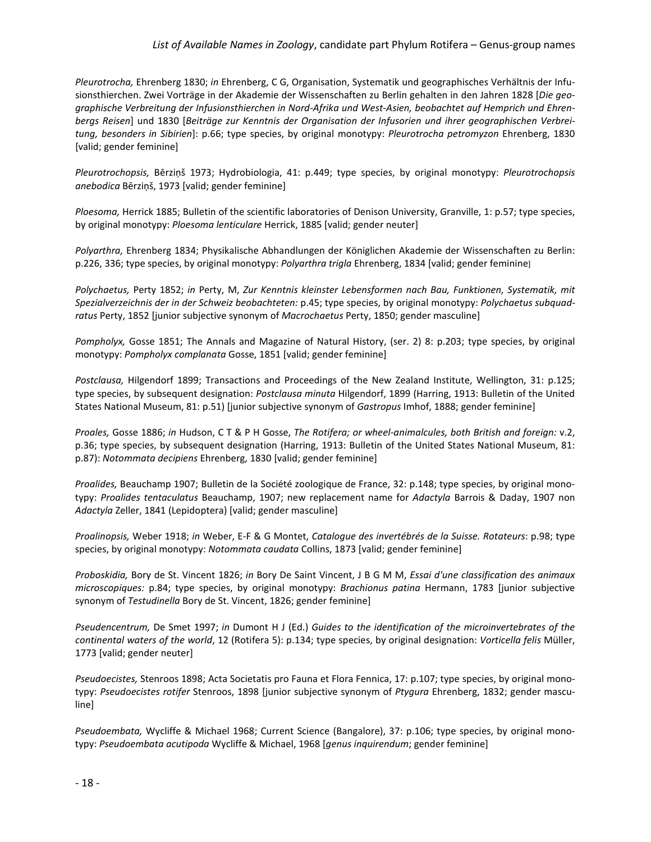#### *List of Available Names in Zoology*, candidate part Phylum Rotifera – Genus-group names

*Pleurotrocha,* Ehrenberg 1830; *in* Ehrenberg, C G, Organisation, Systematik und geographisches Verhältnis der Infusionsthierchen. Zwei Vorträge in der Akademie der Wissenschaften zu Berlin gehalten in den Jahren 1828 [*Die geographische Verbreitung der Infusionsthierchen in Nord-Afrika und West-Asien, beobachtet auf Hemprich und Ehrenbergs Reisen*] und 1830 [*Beiträge zur Kenntnis der Organisation der Infusorien und ihrer geographischen Verbreitung, besonders in Sibirien*]: p.66; type species, by original monotypy: *Pleurotrocha petromyzon* Ehrenberg, 1830 [valid; gender feminine]

*Pleurotrochopsis,* Bērziņš 1973; Hydrobiologia, 41: p.449; type species, by original monotypy: *Pleurotrochopsis anebodica* Bērziņš, 1973 [valid; gender feminine]

*Ploesoma,* Herrick 1885; Bulletin of the scientific laboratories of Denison University, Granville, 1: p.57; type species, by original monotypy: *Ploesoma lenticulare* Herrick, 1885 [valid; gender neuter]

*Polyarthra,* Ehrenberg 1834; Physikalische Abhandlungen der Königlichen Akademie der Wissenschaften zu Berlin: p.226, 336; type species, by original monotypy: *Polyarthra trigla* Ehrenberg, 1834 [valid; gender feminine]

*Polychaetus,* Perty 1852; *in* Perty, M, *Zur Kenntnis kleinster Lebensformen nach Bau, Funktionen, Systematik, mit Spezialverzeichnis der in der Schweiz beobachteten:* p.45; type species, by original monotypy: *Polychaetus subquadratus* Perty, 1852 [junior subjective synonym of *Macrochaetus* Perty, 1850; gender masculine]

*Pompholyx,* Gosse 1851; The Annals and Magazine of Natural History, (ser. 2) 8: p.203; type species, by original monotypy: *Pompholyx complanata* Gosse, 1851 [valid; gender feminine]

*Postclausa,* Hilgendorf 1899; Transactions and Proceedings of the New Zealand Institute, Wellington, 31: p.125; type species, by subsequent designation: *Postclausa minuta* Hilgendorf, 1899 (Harring, 1913: Bulletin of the United States National Museum, 81: p.51) [junior subjective synonym of *Gastropus* Imhof, 1888; gender feminine]

*Proales,* Gosse 1886; *in* Hudson, C T & P H Gosse, *The Rotifera; or wheel-animalcules, both British and foreign:* v.2, p.36; type species, by subsequent designation (Harring, 1913: Bulletin of the United States National Museum, 81: p.87): *Notommata decipiens* Ehrenberg, 1830 [valid; gender feminine]

*Proalides,* Beauchamp 1907; Bulletin de la Société zoologique de France, 32: p.148; type species, by original monotypy: *Proalides tentaculatus* Beauchamp, 1907; new replacement name for *Adactyla* Barrois & Daday, 1907 non *Adactyla* Zeller, 1841 (Lepidoptera) [valid; gender masculine]

*Proalinopsis,* Weber 1918; *in* Weber, E-F & G Montet, *Catalogue des invertébrés de la Suisse. Rotateurs*: p.98; type species, by original monotypy: *Notommata caudata* Collins, 1873 [valid; gender feminine]

*Proboskidia,* Bory de St. Vincent 1826; *in* Bory De Saint Vincent, J B G M M, *Essai d'une classification des animaux microscopiques:* p.84; type species, by original monotypy: *Brachionus patina* Hermann, 1783 [junior subjective synonym of *Testudinella* Bory de St. Vincent, 1826; gender feminine]

*Pseudencentrum,* De Smet 1997; *in* Dumont H J (Ed.) *Guides to the identification of the microinvertebrates of the continental waters of the world*, 12 (Rotifera 5): p.134; type species, by original designation: *Vorticella felis* Müller, 1773 [valid; gender neuter]

*Pseudoecistes,* Stenroos 1898; Acta Societatis pro Fauna et Flora Fennica, 17: p.107; type species, by original monotypy: *Pseudoecistes rotifer* Stenroos, 1898 [junior subjective synonym of *Ptygura* Ehrenberg, 1832; gender masculine]

*Pseudoembata,* Wycliffe & Michael 1968; Current Science (Bangalore), 37: p.106; type species, by original monotypy: *Pseudoembata acutipoda* Wycliffe & Michael, 1968 [*genus inquirendum*; gender feminine]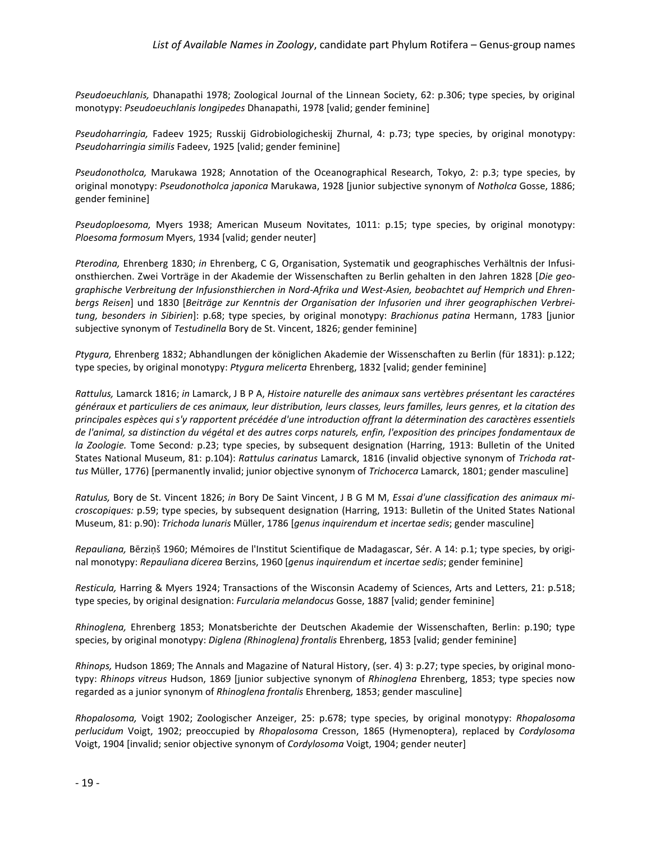*Pseudoeuchlanis,* Dhanapathi 1978; Zoological Journal of the Linnean Society, 62: p.306; type species, by original monotypy: *Pseudoeuchlanis longipedes* Dhanapathi, 1978 [valid; gender feminine]

*Pseudoharringia,* Fadeev 1925; Russkij Gidrobiologicheskij Zhurnal, 4: p.73; type species, by original monotypy: *Pseudoharringia similis* Fadeev, 1925 [valid; gender feminine]

*Pseudonotholca,* Marukawa 1928; Annotation of the Oceanographical Research, Tokyo, 2: p.3; type species, by original monotypy: *Pseudonotholca japonica* Marukawa, 1928 [junior subjective synonym of *Notholca* Gosse, 1886; gender feminine]

*Pseudoploesoma,* Myers 1938; American Museum Novitates, 1011: p.15; type species, by original monotypy: *Ploesoma formosum* Myers, 1934 [valid; gender neuter]

*Pterodina,* Ehrenberg 1830; *in* Ehrenberg, C G, Organisation, Systematik und geographisches Verhältnis der Infusionsthierchen. Zwei Vorträge in der Akademie der Wissenschaften zu Berlin gehalten in den Jahren 1828 [*Die geographische Verbreitung der Infusionsthierchen in Nord-Afrika und West-Asien, beobachtet auf Hemprich und Ehrenbergs Reisen*] und 1830 [*Beiträge zur Kenntnis der Organisation der Infusorien und ihrer geographischen Verbreitung, besonders in Sibirien*]: p.68; type species, by original monotypy: *Brachionus patina* Hermann, 1783 [junior subjective synonym of *Testudinella* Bory de St. Vincent, 1826; gender feminine]

*Ptygura,* Ehrenberg 1832; Abhandlungen der königlichen Akademie der Wissenschaften zu Berlin (für 1831): p.122; type species, by original monotypy: *Ptygura melicerta* Ehrenberg, 1832 [valid; gender feminine]

*Rattulus,* Lamarck 1816; *in* Lamarck, J B P A, *Histoire naturelle des animaux sans vertèbres présentant les caractéres généraux et particuliers de ces animaux, leur distribution, leurs classes, leurs familles, leurs genres, et la citation des principales espèces qui s'y rapportent précédée d'une introduction offrant la détermination des caractères essentiels de l'animal, sa distinction du végétal et des autres corps naturels, enfin, l'exposition des principes fondamentaux de la Zoologie.* Tome Second*:* p.23; type species, by subsequent designation (Harring, 1913: Bulletin of the United States National Museum, 81: p.104): *Rattulus carinatus* Lamarck, 1816 (invalid objective synonym of *Trichoda rattus* Müller, 1776) [permanently invalid; junior objective synonym of *Trichocerca* Lamarck, 1801; gender masculine]

*Ratulus,* Bory de St. Vincent 1826; *in* Bory De Saint Vincent, J B G M M, *Essai d'une classification des animaux microscopiques:* p.59; type species, by subsequent designation (Harring, 1913: Bulletin of the United States National Museum, 81: p.90): *Trichoda lunaris* Müller, 1786 [*genus inquirendum et incertae sedis*; gender masculine]

*Repauliana,* Bērziņš 1960; Mémoires de l'Institut Scientifique de Madagascar, Sér. A 14: p.1; type species, by original monotypy: *Repauliana dicerea* Berzins, 1960 [*genus inquirendum et incertae sedis*; gender feminine]

*Resticula,* Harring & Myers 1924; Transactions of the Wisconsin Academy of Sciences, Arts and Letters, 21: p.518; type species, by original designation: *Furcularia melandocus* Gosse, 1887 [valid; gender feminine]

*Rhinoglena,* Ehrenberg 1853; Monatsberichte der Deutschen Akademie der Wissenschaften, Berlin: p.190; type species, by original monotypy: *Diglena (Rhinoglena) frontalis* Ehrenberg, 1853 [valid; gender feminine]

*Rhinops,* Hudson 1869; The Annals and Magazine of Natural History, (ser. 4) 3: p.27; type species, by original monotypy: *Rhinops vitreus* Hudson, 1869 [junior subjective synonym of *Rhinoglena* Ehrenberg, 1853; type species now regarded as a junior synonym of *Rhinoglena frontalis* Ehrenberg, 1853; gender masculine]

*Rhopalosoma,* Voigt 1902; Zoologischer Anzeiger, 25: p.678; type species, by original monotypy: *Rhopalosoma perlucidum* Voigt, 1902; preoccupied by *Rhopalosoma* Cresson, 1865 (Hymenoptera), replaced by *Cordylosoma* Voigt, 1904 [invalid; senior objective synonym of *Cordylosoma* Voigt, 1904; gender neuter]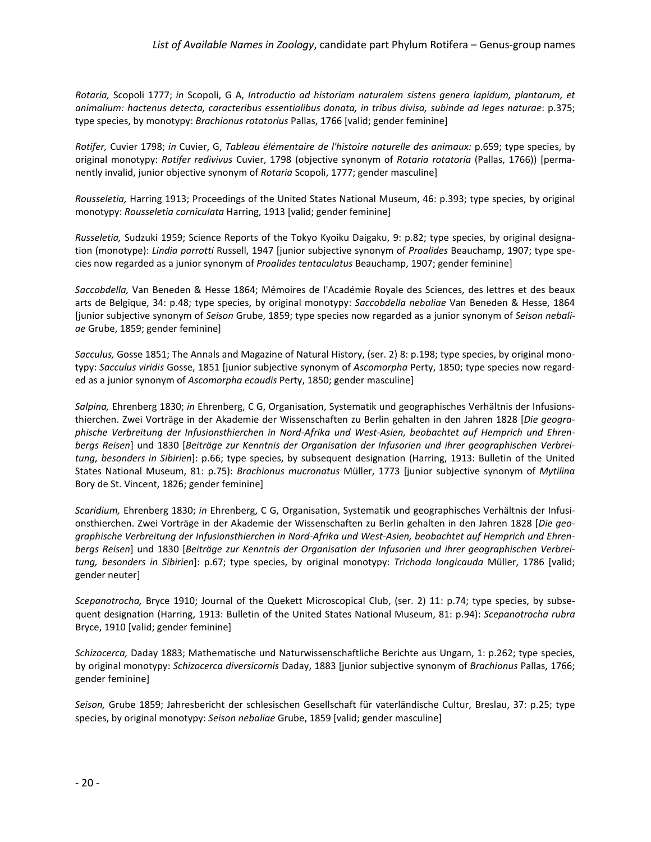*Rotaria,* Scopoli 1777; *in* Scopoli, G A, *Introductio ad historiam naturalem sistens genera lapidum, plantarum, et animalium: hactenus detecta, caracteribus essentialibus donata, in tribus divisa, subinde ad leges naturae*: p.375; type species, by monotypy: *Brachionus rotatorius* Pallas, 1766 [valid; gender feminine]

*Rotifer,* Cuvier 1798; *in* Cuvier, G, *Tableau élémentaire de l'histoire naturelle des animaux:* p.659; type species, by original monotypy: *Rotifer redivivus* Cuvier, 1798 (objective synonym of *Rotaria rotatoria* (Pallas, 1766)) [permanently invalid, junior objective synonym of *Rotaria* Scopoli, 1777; gender masculine]

*Rousseletia,* Harring 1913; Proceedings of the United States National Museum, 46: p.393; type species, by original monotypy: *Rousseletia corniculata* Harring, 1913 [valid; gender feminine]

*Russeletia,* Sudzuki 1959; Science Reports of the Tokyo Kyoiku Daigaku, 9: p.82; type species, by original designation (monotype): *Lindia parrotti* Russell, 1947 [junior subjective synonym of *Proalides* Beauchamp, 1907; type species now regarded as a junior synonym of *Proalides tentaculatus* Beauchamp, 1907; gender feminine]

*Saccobdella,* Van Beneden & Hesse 1864; Mémoires de l'Académie Royale des Sciences, des lettres et des beaux arts de Belgique, 34: p.48; type species, by original monotypy: *Saccobdella nebaliae* Van Beneden & Hesse, 1864 [junior subjective synonym of *Seison* Grube, 1859; type species now regarded as a junior synonym of *Seison nebaliae* Grube, 1859; gender feminine]

*Sacculus,* Gosse 1851; The Annals and Magazine of Natural History, (ser. 2) 8: p.198; type species, by original monotypy: *Sacculus viridis* Gosse, 1851 [junior subjective synonym of *Ascomorpha* Perty, 1850; type species now regarded as a junior synonym of *Ascomorpha ecaudis* Perty, 1850; gender masculine]

*Salpina,* Ehrenberg 1830; *in* Ehrenberg, C G, Organisation, Systematik und geographisches Verhältnis der Infusionsthierchen. Zwei Vorträge in der Akademie der Wissenschaften zu Berlin gehalten in den Jahren 1828 [*Die geographische Verbreitung der Infusionsthierchen in Nord-Afrika und West-Asien, beobachtet auf Hemprich und Ehrenbergs Reisen*] und 1830 [*Beiträge zur Kenntnis der Organisation der Infusorien und ihrer geographischen Verbreitung, besonders in Sibirien*]: p.66; type species, by subsequent designation (Harring, 1913: Bulletin of the United States National Museum, 81: p.75): *Brachionus mucronatus* Müller, 1773 [junior subjective synonym of *Mytilina* Bory de St. Vincent, 1826; gender feminine]

*Scaridium,* Ehrenberg 1830; *in* Ehrenberg, C G, Organisation, Systematik und geographisches Verhältnis der Infusionsthierchen. Zwei Vorträge in der Akademie der Wissenschaften zu Berlin gehalten in den Jahren 1828 [*Die geographische Verbreitung der Infusionsthierchen in Nord-Afrika und West-Asien, beobachtet auf Hemprich und Ehrenbergs Reisen*] und 1830 [*Beiträge zur Kenntnis der Organisation der Infusorien und ihrer geographischen Verbreitung, besonders in Sibirien*]: p.67; type species, by original monotypy: *Trichoda longicauda* Müller, 1786 [valid; gender neuter]

*Scepanotrocha,* Bryce 1910; Journal of the Quekett Microscopical Club, (ser. 2) 11: p.74; type species, by subsequent designation (Harring, 1913: Bulletin of the United States National Museum, 81: p.94): *Scepanotrocha rubra* Bryce, 1910 [valid; gender feminine]

*Schizocerca,* Daday 1883; Mathematische und Naturwissenschaftliche Berichte aus Ungarn, 1: p.262; type species, by original monotypy: *Schizocerca diversicornis* Daday, 1883 [junior subjective synonym of *Brachionus* Pallas, 1766; gender feminine]

*Seison,* Grube 1859; Jahresbericht der schlesischen Gesellschaft für vaterländische Cultur, Breslau, 37: p.25; type species, by original monotypy: *Seison nebaliae* Grube, 1859 [valid; gender masculine]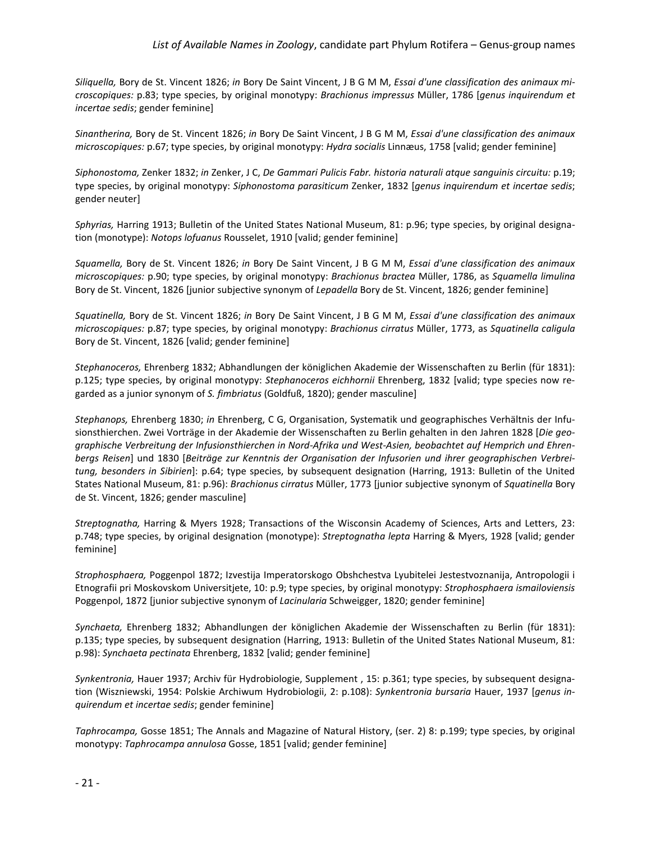*Siliquella,* Bory de St. Vincent 1826; *in* Bory De Saint Vincent, J B G M M, *Essai d'une classification des animaux microscopiques:* p.83; type species, by original monotypy: *Brachionus impressus* Müller, 1786 [*genus inquirendum et incertae sedis*; gender feminine]

*Sinantherina,* Bory de St. Vincent 1826; *in* Bory De Saint Vincent, J B G M M, *Essai d'une classification des animaux microscopiques:* p.67; type species, by original monotypy: *Hydra socialis* Linnæus, 1758 [valid; gender feminine]

*Siphonostoma,* Zenker 1832; *in* Zenker, J C, *De Gammari Pulicis Fabr. historia naturali atque sanguinis circuitu:* p.19; type species, by original monotypy: *Siphonostoma parasiticum* Zenker, 1832 [*genus inquirendum et incertae sedis*; gender neuter]

*Sphyrias,* Harring 1913; Bulletin of the United States National Museum, 81: p.96; type species, by original designation (monotype): *Notops lofuanus* Rousselet, 1910 [valid; gender feminine]

*Squamella,* Bory de St. Vincent 1826; *in* Bory De Saint Vincent, J B G M M, *Essai d'une classification des animaux microscopiques:* p.90; type species, by original monotypy: *Brachionus bractea* Müller, 1786, as *Squamella limulina* Bory de St. Vincent, 1826 [junior subjective synonym of *Lepadella* Bory de St. Vincent, 1826; gender feminine]

*Squatinella,* Bory de St. Vincent 1826; *in* Bory De Saint Vincent, J B G M M, *Essai d'une classification des animaux microscopiques:* p.87; type species, by original monotypy: *Brachionus cirratus* Müller, 1773, as *Squatinella caligula* Bory de St. Vincent, 1826 [valid; gender feminine]

*Stephanoceros,* Ehrenberg 1832; Abhandlungen der königlichen Akademie der Wissenschaften zu Berlin (für 1831): p.125; type species, by original monotypy: *Stephanoceros eichhornii* Ehrenberg, 1832 [valid; type species now regarded as a junior synonym of *S. fimbriatus* (Goldfuß, 1820); gender masculine]

*Stephanops,* Ehrenberg 1830; *in* Ehrenberg, C G, Organisation, Systematik und geographisches Verhältnis der Infusionsthierchen. Zwei Vorträge in der Akademie der Wissenschaften zu Berlin gehalten in den Jahren 1828 [*Die geographische Verbreitung der Infusionsthierchen in Nord-Afrika und West-Asien, beobachtet auf Hemprich und Ehrenbergs Reisen*] und 1830 [*Beiträge zur Kenntnis der Organisation der Infusorien und ihrer geographischen Verbreitung, besonders in Sibirien*]: p.64; type species, by subsequent designation (Harring, 1913: Bulletin of the United States National Museum, 81: p.96): *Brachionus cirratus* Müller, 1773 [junior subjective synonym of *Squatinella* Bory de St. Vincent, 1826; gender masculine]

*Streptognatha,* Harring & Myers 1928; Transactions of the Wisconsin Academy of Sciences, Arts and Letters, 23: p.748; type species, by original designation (monotype): *Streptognatha lepta* Harring & Myers, 1928 [valid; gender feminine]

*Strophosphaera,* Poggenpol 1872; Izvestija Imperatorskogo Obshchestva Lyubitelei Jestestvoznanija, Antropologii i Etnografii pri Moskovskom Universitjete, 10: p.9; type species, by original monotypy: *Strophosphaera ismailoviensis* Poggenpol, 1872 [junior subjective synonym of *Lacinularia* Schweigger, 1820; gender feminine]

*Synchaeta,* Ehrenberg 1832; Abhandlungen der königlichen Akademie der Wissenschaften zu Berlin (für 1831): p.135; type species, by subsequent designation (Harring, 1913: Bulletin of the United States National Museum, 81: p.98): *Synchaeta pectinata* Ehrenberg, 1832 [valid; gender feminine]

*Synkentronia,* Hauer 1937; Archiv für Hydrobiologie, Supplement , 15: p.361; type species, by subsequent designation (Wiszniewski, 1954: Polskie Archiwum Hydrobiologii, 2: p.108): *Synkentronia bursaria* Hauer, 1937 [*genus inquirendum et incertae sedis*; gender feminine]

*Taphrocampa,* Gosse 1851; The Annals and Magazine of Natural History, (ser. 2) 8: p.199; type species, by original monotypy: *Taphrocampa annulosa* Gosse, 1851 [valid; gender feminine]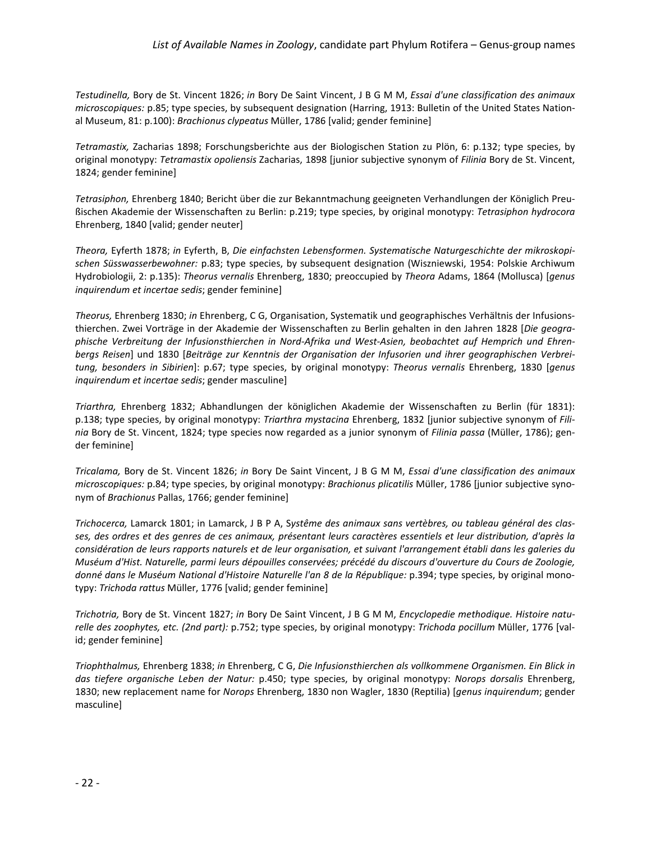*Testudinella,* Bory de St. Vincent 1826; *in* Bory De Saint Vincent, J B G M M, *Essai d'une classification des animaux microscopiques:* p.85; type species, by subsequent designation (Harring, 1913: Bulletin of the United States National Museum, 81: p.100): *Brachionus clypeatus* Müller, 1786 [valid; gender feminine]

*Tetramastix,* Zacharias 1898; Forschungsberichte aus der Biologischen Station zu Plön, 6: p.132; type species, by original monotypy: *Tetramastix opoliensis* Zacharias, 1898 [junior subjective synonym of *Filinia* Bory de St. Vincent, 1824; gender feminine]

*Tetrasiphon,* Ehrenberg 1840; Bericht über die zur Bekanntmachung geeigneten Verhandlungen der Königlich Preußischen Akademie der Wissenschaften zu Berlin: p.219; type species, by original monotypy: *Tetrasiphon hydrocora* Ehrenberg, 1840 [valid; gender neuter]

*Theora,* Eyferth 1878; *in* Eyferth, B, *Die einfachsten Lebensformen. Systematische Naturgeschichte der mikroskopischen Süsswasserbewohner:* p.83; type species, by subsequent designation (Wiszniewski, 1954: Polskie Archiwum Hydrobiologii, 2: p.135): *Theorus vernalis* Ehrenberg, 1830; preoccupied by *Theora* Adams, 1864 (Mollusca) [*genus inquirendum et incertae sedis*; gender feminine]

*Theorus,* Ehrenberg 1830; *in* Ehrenberg, C G, Organisation, Systematik und geographisches Verhältnis der Infusionsthierchen. Zwei Vorträge in der Akademie der Wissenschaften zu Berlin gehalten in den Jahren 1828 [*Die geographische Verbreitung der Infusionsthierchen in Nord-Afrika und West-Asien, beobachtet auf Hemprich und Ehrenbergs Reisen*] und 1830 [*Beiträge zur Kenntnis der Organisation der Infusorien und ihrer geographischen Verbreitung, besonders in Sibirien*]: p.67; type species, by original monotypy: *Theorus vernalis* Ehrenberg, 1830 [*genus inquirendum et incertae sedis*; gender masculine]

*Triarthra,* Ehrenberg 1832; Abhandlungen der königlichen Akademie der Wissenschaften zu Berlin (für 1831): p.138; type species, by original monotypy: *Triarthra mystacina* Ehrenberg, 1832 [junior subjective synonym of *Filinia* Bory de St. Vincent, 1824; type species now regarded as a junior synonym of *Filinia passa* (Müller, 1786); gender feminine]

*Tricalama,* Bory de St. Vincent 1826; *in* Bory De Saint Vincent, J B G M M, *Essai d'une classification des animaux microscopiques:* p.84; type species, by original monotypy: *Brachionus plicatilis* Müller, 1786 [junior subjective synonym of *Brachionus* Pallas, 1766; gender feminine]

*Trichocerca,* Lamarck 1801; in Lamarck, J B P A, S*ystême des animaux sans vertèbres, ou tableau général des classes, des ordres et des genres de ces animaux, présentant leurs caractères essentiels et leur distribution, d'après la considération de leurs rapports naturels et de leur organisation, et suivant l'arrangement établi dans les galeries du Muséum d'Hist. Naturelle, parmi leurs dépouilles conservées; précédé du discours d'ouverture du Cours de Zoologie, donné dans le Muséum National d'Histoire Naturelle l'an 8 de la République:* p.394; type species, by original monotypy: *Trichoda rattus* Müller, 1776 [valid; gender feminine]

*Trichotria,* Bory de St. Vincent 1827; *in* Bory De Saint Vincent, J B G M M, *Encyclopedie methodique. Histoire naturelle des zoophytes, etc. (2nd part):* p.752; type species, by original monotypy: *Trichoda pocillum* Müller, 1776 [valid; gender feminine]

*Triophthalmus,* Ehrenberg 1838; *in* Ehrenberg, C G, *Die Infusionsthierchen als vollkommene Organismen. Ein Blick in das tiefere organische Leben der Natur:* p.450; type species, by original monotypy: *Norops dorsalis* Ehrenberg, 1830; new replacement name for *Norops* Ehrenberg, 1830 non Wagler, 1830 (Reptilia) [*genus inquirendum*; gender masculine]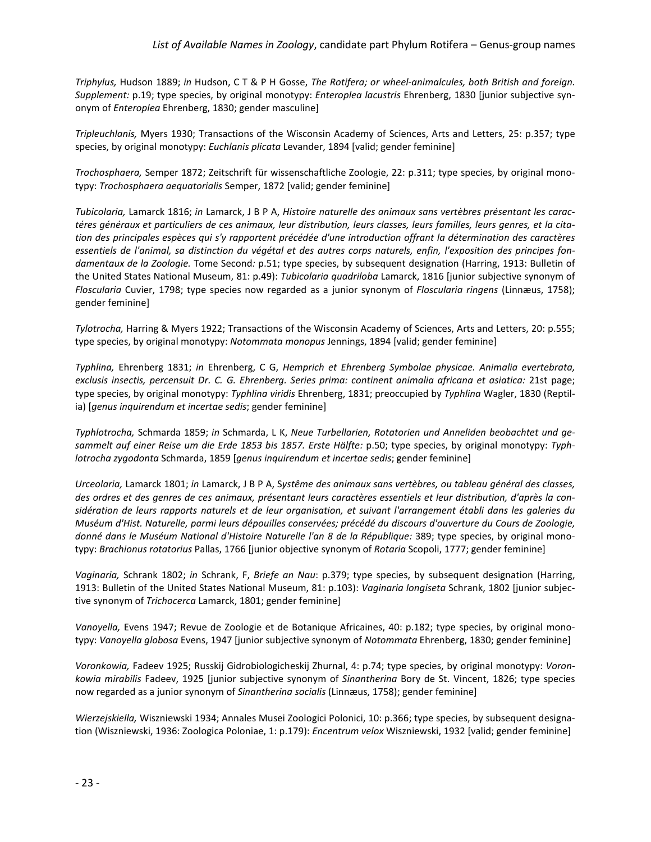*Triphylus,* Hudson 1889; *in* Hudson, C T & P H Gosse, *The Rotifera; or wheel-animalcules, both British and foreign. Supplement:* p.19; type species, by original monotypy: *Enteroplea lacustris* Ehrenberg, 1830 [junior subjective synonym of *Enteroplea* Ehrenberg, 1830; gender masculine]

*Tripleuchlanis,* Myers 1930; Transactions of the Wisconsin Academy of Sciences, Arts and Letters, 25: p.357; type species, by original monotypy: *Euchlanis plicata* Levander, 1894 [valid; gender feminine]

*Trochosphaera,* Semper 1872; Zeitschrift für wissenschaftliche Zoologie, 22: p.311; type species, by original monotypy: *Trochosphaera aequatorialis* Semper, 1872 [valid; gender feminine]

*Tubicolaria,* Lamarck 1816; *in* Lamarck, J B P A, *Histoire naturelle des animaux sans vertèbres présentant les caractéres généraux et particuliers de ces animaux, leur distribution, leurs classes, leurs familles, leurs genres, et la citation des principales espèces qui s'y rapportent précédée d'une introduction offrant la détermination des caractères essentiels de l'animal, sa distinction du végétal et des autres corps naturels, enfin, l'exposition des principes fondamentaux de la Zoologie.* Tome Second*:* p.51; type species, by subsequent designation (Harring, 1913: Bulletin of the United States National Museum, 81: p.49): *Tubicolaria quadriloba* Lamarck, 1816 [junior subjective synonym of *Floscularia* Cuvier, 1798; type species now regarded as a junior synonym of *Floscularia ringens* (Linnæus, 1758); gender feminine]

*Tylotrocha,* Harring & Myers 1922; Transactions of the Wisconsin Academy of Sciences, Arts and Letters, 20: p.555; type species, by original monotypy: *Notommata monopus* Jennings, 1894 [valid; gender feminine]

*Typhlina,* Ehrenberg 1831; *in* Ehrenberg, C G, *Hemprich et Ehrenberg Symbolae physicae. Animalia evertebrata, exclusis insectis, percensuit Dr. C. G. Ehrenberg. Series prima: continent animalia africana et asiatica:* 21st page; type species, by original monotypy: *Typhlina viridis* Ehrenberg, 1831; preoccupied by *Typhlina* Wagler, 1830 (Reptilia) [*genus inquirendum et incertae sedis*; gender feminine]

*Typhlotrocha,* Schmarda 1859; *in* Schmarda, L K, *Neue Turbellarien, Rotatorien und Anneliden beobachtet und gesammelt auf einer Reise um die Erde 1853 bis 1857. Erste Hälfte:* p.50; type species, by original monotypy: *Typhlotrocha zygodonta* Schmarda, 1859 [*genus inquirendum et incertae sedis*; gender feminine]

*Urceolaria,* Lamarck 1801; *in* Lamarck, J B P A, S*ystême des animaux sans vertèbres, ou tableau général des classes, des ordres et des genres de ces animaux, présentant leurs caractères essentiels et leur distribution, d'après la considération de leurs rapports naturels et de leur organisation, et suivant l'arrangement établi dans les galeries du Muséum d'Hist. Naturelle, parmi leurs dépouilles conservées; précédé du discours d'ouverture du Cours de Zoologie, donné dans le Muséum National d'Histoire Naturelle l'an 8 de la République:* 389; type species, by original monotypy: *Brachionus rotatorius* Pallas, 1766 [junior objective synonym of *Rotaria* Scopoli, 1777; gender feminine]

*Vaginaria,* Schrank 1802; *in* Schrank, F, *Briefe an Nau*: p.379; type species, by subsequent designation (Harring, 1913: Bulletin of the United States National Museum, 81: p.103): *Vaginaria longiseta* Schrank, 1802 [junior subjective synonym of *Trichocerca* Lamarck, 1801; gender feminine]

*Vanoyella,* Evens 1947; Revue de Zoologie et de Botanique Africaines, 40: p.182; type species, by original monotypy: *Vanoyella globosa* Evens, 1947 [junior subjective synonym of *Notommata* Ehrenberg, 1830; gender feminine]

*Voronkowia,* Fadeev 1925; Russkij Gidrobiologicheskij Zhurnal, 4: p.74; type species, by original monotypy: *Voronkowia mirabilis* Fadeev, 1925 [junior subjective synonym of *Sinantherina* Bory de St. Vincent, 1826; type species now regarded as a junior synonym of *Sinantherina socialis* (Linnæus, 1758); gender feminine]

*Wierzejskiella,* Wiszniewski 1934; Annales Musei Zoologici Polonici, 10: p.366; type species, by subsequent designation (Wiszniewski, 1936: Zoologica Poloniae, 1: p.179): *Encentrum velox* Wiszniewski, 1932 [valid; gender feminine]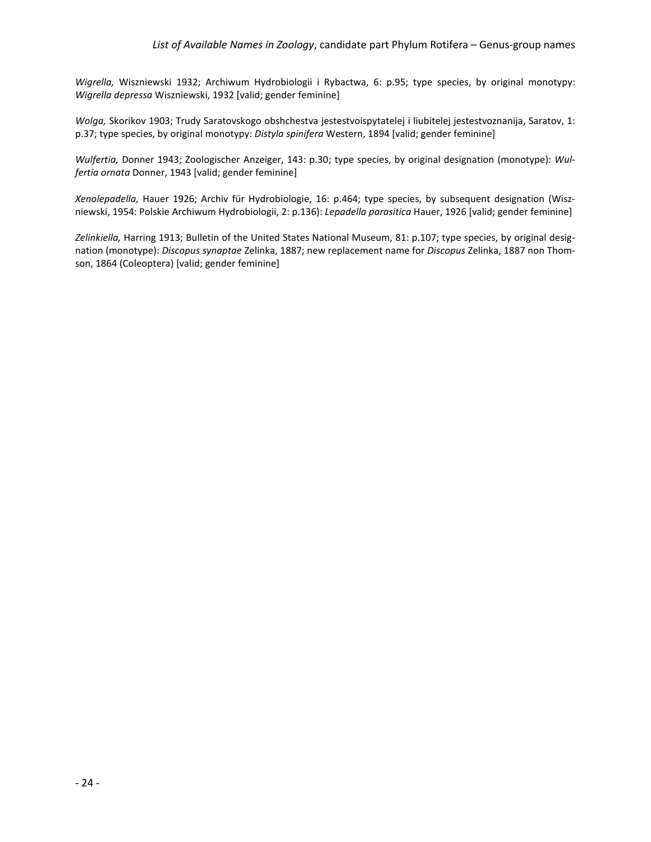*Wigrella,* Wiszniewski 1932; Archiwum Hydrobiologii i Rybactwa, 6: p.95; type species, by original monotypy: *Wigrella depressa* Wiszniewski, 1932 [valid; gender feminine]

*Wolga,* Skorikov 1903; Trudy Saratovskogo obshchestva jestestvoispytatelej i liubitelej jestestvoznanija, Saratov, 1: p.37; type species, by original monotypy: *Distyla spinifera* Western, 1894 [valid; gender feminine]

*Wulfertia,* Donner 1943; Zoologischer Anzeiger, 143: p.30; type species, by original designation (monotype): *Wulfertia ornata* Donner, 1943 [valid; gender feminine]

*Xenolepadella,* Hauer 1926; Archiv für Hydrobiologie, 16: p.464; type species, by subsequent designation (Wiszniewski, 1954: Polskie Archiwum Hydrobiologii, 2: p.136): *Lepadella parasitica* Hauer, 1926 [valid; gender feminine]

*Zelinkiella,* Harring 1913; Bulletin of the United States National Museum, 81: p.107; type species, by original designation (monotype): *Discopus synaptae* Zelinka, 1887; new replacement name for *Discopus* Zelinka, 1887 non Thomson, 1864 (Coleoptera) [valid; gender feminine]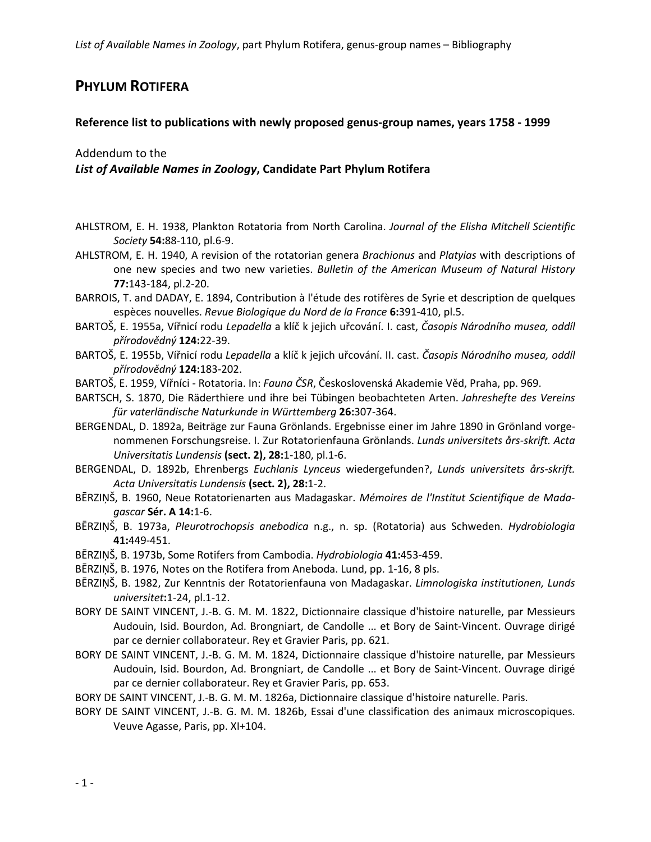# **PHYLUM ROTIFERA**

### **Reference list to publications with newly proposed genus-group names, years 1758 - 1999**

## Addendum to the *List of Available Names in Zoology***, Candidate Part Phylum Rotifera**

- AHLSTROM, E. H. 1938, Plankton Rotatoria from North Carolina. *Journal of the Elisha Mitchell Scientific Society* **54:**88-110, pl.6-9.
- AHLSTROM, E. H. 1940, A revision of the rotatorian genera *Brachionus* and *Platyias* with descriptions of one new species and two new varieties. *Bulletin of the American Museum of Natural History* **77:**143-184, pl.2-20.
- BARROIS, T. and DADAY, E. 1894, Contribution à l'étude des rotifères de Syrie et description de quelques espèces nouvelles. *Revue Biologique du Nord de la France* **6:**391-410, pl.5.
- BARTOŠ, E. 1955a, Vířnicí rodu *Lepadella* a klíč k jejich uřcování. I. cast, *Časopis Národního musea, oddíl přírodovědný* **124:**22-39.
- BARTOŠ, E. 1955b, Vířnicí rodu *Lepadella* a klíč k jejich uřcování. II. cast. *Časopis Národního musea, oddíl přírodovědný* **124:**183-202.
- BARTOŠ, E. 1959, Vířníci Rotatoria. In: *Fauna ČSR*, Československá Akademie Věd, Praha, pp. 969.
- BARTSCH, S. 1870, Die Räderthiere und ihre bei Tübingen beobachteten Arten. *Jahreshefte des Vereins für vaterländische Naturkunde in Württemberg* **26:**307-364.
- BERGENDAL, D. 1892a, Beiträge zur Fauna Grönlands. Ergebnisse einer im Jahre 1890 in Grönland vorgenommenen Forschungsreise. I. Zur Rotatorienfauna Grönlands. *Lunds universitets års-skrift. Acta Universitatis Lundensis* **(sect. 2), 28:**1-180, pl.1-6.
- BERGENDAL, D. 1892b, Ehrenbergs *Euchlanis Lynceus* wiedergefunden?, *Lunds universitets års-skrift. Acta Universitatis Lundensis* **(sect. 2), 28:**1-2.
- BĒRZIŅŠ, B. 1960, Neue Rotatorienarten aus Madagaskar. *Mémoires de l'Institut Scientifique de Madagascar* **Sér. A 14:**1-6.
- BĒRZIŅŠ, B. 1973a, *Pleurotrochopsis anebodica* n.g., n. sp. (Rotatoria) aus Schweden. *Hydrobiologia* **41:**449-451.
- BĒRZIŅŠ, B. 1973b, Some Rotifers from Cambodia. *Hydrobiologia* **41:**453-459.
- BĒRZINŠ, B. 1976, Notes on the Rotifera from Aneboda. Lund, pp. 1-16, 8 pls.
- BĒRZIŅŠ, B. 1982, Zur Kenntnis der Rotatorienfauna von Madagaskar. *Limnologiska institutionen, Lunds universitet***:**1-24, pl.1-12.
- BORY DE SAINT VINCENT, J.-B. G. M. M. 1822, Dictionnaire classique d'histoire naturelle, par Messieurs Audouin, Isid. Bourdon, Ad. Brongniart, de Candolle ... et Bory de Saint-Vincent. Ouvrage dirigé par ce dernier collaborateur. Rey et Gravier Paris, pp. 621.
- BORY DE SAINT VINCENT, J.-B. G. M. M. 1824, Dictionnaire classique d'histoire naturelle, par Messieurs Audouin, Isid. Bourdon, Ad. Brongniart, de Candolle ... et Bory de Saint-Vincent. Ouvrage dirigé par ce dernier collaborateur. Rey et Gravier Paris, pp. 653.
- BORY DE SAINT VINCENT, J.-B. G. M. M. 1826a, Dictionnaire classique d'histoire naturelle. Paris.
- BORY DE SAINT VINCENT, J.-B. G. M. M. 1826b, Essai d'une classification des animaux microscopiques. Veuve Agasse, Paris, pp. XI+104.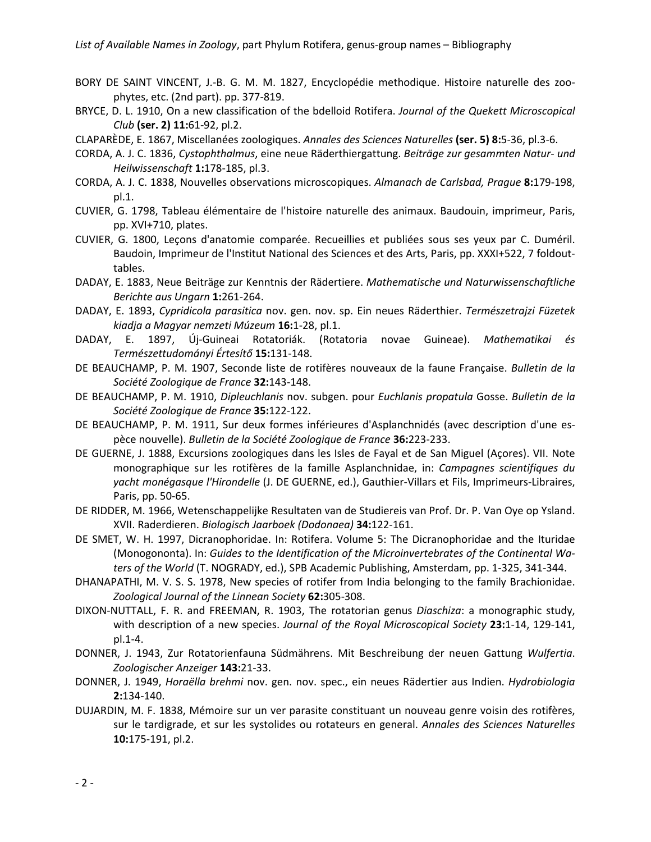- BORY DE SAINT VINCENT, J.-B. G. M. M. 1827, Encyclopédie methodique. Histoire naturelle des zoophytes, etc. (2nd part). pp. 377-819.
- BRYCE, D. L. 1910, On a new classification of the bdelloid Rotifera. *Journal of the Quekett Microscopical Club* **(ser. 2) 11:**61-92, pl.2.
- CLAPARÈDE, E. 1867, Miscellanées zoologiques. *Annales des Sciences Naturelles* **(ser. 5) 8:**5-36, pl.3-6.
- CORDA, A. J. C. 1836, *Cystophthalmus*, eine neue Räderthiergattung. *Beiträge zur gesammten Natur- und Heilwissenschaft* **1:**178-185, pl.3.
- CORDA, A. J. C. 1838, Nouvelles observations microscopiques. *Almanach de Carlsbad, Prague* **8:**179-198, pl.1.
- CUVIER, G. 1798, Tableau élémentaire de l'histoire naturelle des animaux. Baudouin, imprimeur, Paris, pp. XVI+710, plates.
- CUVIER, G. 1800, Leçons d'anatomie comparée. Recueillies et publiées sous ses yeux par C. Duméril. Baudoin, Imprimeur de l'Institut National des Sciences et des Arts, Paris, pp. XXXI+522, 7 foldouttables.
- DADAY, E. 1883, Neue Beiträge zur Kenntnis der Rädertiere. *Mathematische und Naturwissenschaftliche Berichte aus Ungarn* **1:**261-264.
- DADAY, E. 1893, *Cypridicola parasitica* nov. gen. nov. sp. Ein neues Räderthier. *Természetrajzi Füzetek kiadja a Magyar nemzeti Múzeum* **16:**1-28, pl.1.
- DADAY, E. 1897, Új-Guineai Rotatoriák. (Rotatoria novae Guineae). *Mathematikai és Természettudományi Értesítő* **15:**131-148.
- DE BEAUCHAMP, P. M. 1907, Seconde liste de rotifères nouveaux de la faune Française. *Bulletin de la Société Zoologique de France* **32:**143-148.
- DE BEAUCHAMP, P. M. 1910, *Dipleuchlanis* nov. subgen. pour *Euchlanis propatula* Gosse. *Bulletin de la Société Zoologique de France* **35:**122-122.
- DE BEAUCHAMP, P. M. 1911, Sur deux formes inférieures d'Asplanchnidés (avec description d'une espèce nouvelle). *Bulletin de la Société Zoologique de France* **36:**223-233.
- DE GUERNE, J. 1888, Excursions zoologiques dans les Isles de Fayal et de San Miguel (Açores). VII. Note monographique sur les rotifères de la famille Asplanchnidae, in: *Campagnes scientifiques du yacht monégasque l'Hirondelle* (J. DE GUERNE, ed.), Gauthier-Villars et Fils, Imprimeurs-Libraires, Paris, pp. 50-65.
- DE RIDDER, M. 1966, Wetenschappelijke Resultaten van de Studiereis van Prof. Dr. P. Van Oye op Ysland. XVII. Raderdieren. *Biologisch Jaarboek (Dodonaea)* **34:**122-161.
- DE SMET, W. H. 1997, Dicranophoridae. In: Rotifera. Volume 5: The Dicranophoridae and the Ituridae (Monogononta). In: *Guides to the Identification of the Microinvertebrates of the Continental Waters of the World* (T. NOGRADY, ed.), SPB Academic Publishing, Amsterdam, pp. 1-325, 341-344.
- DHANAPATHI, M. V. S. S. 1978, New species of rotifer from India belonging to the family Brachionidae. *Zoological Journal of the Linnean Society* **62:**305-308.
- DIXON-NUTTALL, F. R. and FREEMAN, R. 1903, The rotatorian genus *Diaschiza*: a monographic study, with description of a new species. *Journal of the Royal Microscopical Society* **23:**1-14, 129-141, pl.1-4.
- DONNER, J. 1943, Zur Rotatorienfauna Südmährens. Mit Beschreibung der neuen Gattung *Wulfertia*. *Zoologischer Anzeiger* **143:**21-33.
- DONNER, J. 1949, *Horaëlla brehmi* nov. gen. nov. spec., ein neues Rädertier aus Indien. *Hydrobiologia* **2:**134-140.
- DUJARDIN, M. F. 1838, Mémoire sur un ver parasite constituant un nouveau genre voisin des rotifères, sur le tardigrade, et sur les systolides ou rotateurs en general. *Annales des Sciences Naturelles* **10:**175-191, pl.2.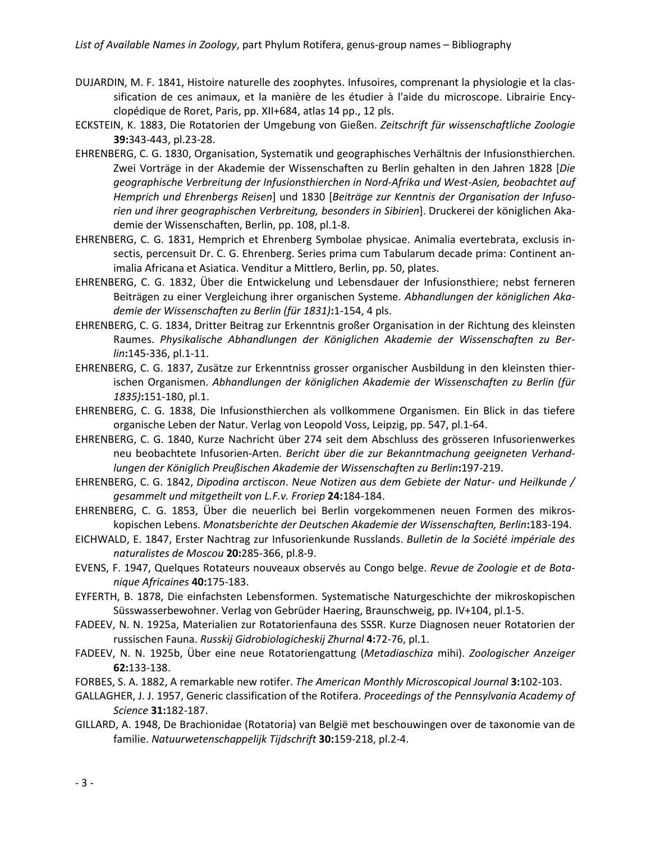- DUJARDIN, M. F. 1841, Histoire naturelle des zoophytes. Infusoires, comprenant la physiologie et la classification de ces animaux, et la manière de les étudier à l'aide du microscope. Librairie Encyclopédique de Roret, Paris, pp. XII+684, atlas 14 pp., 12 pls.
- ECKSTEIN, K. 1883, Die Rotatorien der Umgebung von Gießen. *Zeitschrift für wissenschaftliche Zoologie* **39:**343-443, pl.23-28.
- EHRENBERG, C. G. 1830, Organisation, Systematik und geographisches Verhältnis der Infusionsthierchen. Zwei Vorträge in der Akademie der Wissenschaften zu Berlin gehalten in den Jahren 1828 [*Die geographische Verbreitung der Infusionsthierchen in Nord-Afrika und West-Asien, beobachtet auf Hemprich und Ehrenbergs Reisen*] und 1830 [*Beiträge zur Kenntnis der Organisation der Infusorien und ihrer geographischen Verbreitung, besonders in Sibirien*]. Druckerei der königlichen Akademie der Wissenschaften, Berlin, pp. 108, pl.1-8.
- EHRENBERG, C. G. 1831, Hemprich et Ehrenberg Symbolae physicae. Animalia evertebrata, exclusis insectis, percensuit Dr. C. G. Ehrenberg. Series prima cum Tabularum decade prima: Continent animalia Africana et Asiatica. Venditur a Mittlero, Berlin, pp. 50, plates.
- EHRENBERG, C. G. 1832, Über die Entwickelung und Lebensdauer der Infusionsthiere; nebst ferneren Beiträgen zu einer Vergleichung ihrer organischen Systeme. *Abhandlungen der königlichen Akademie der Wissenschaften zu Berlin (für 1831)***:**1-154, 4 pls.
- EHRENBERG, C. G. 1834, Dritter Beitrag zur Erkenntnis großer Organisation in der Richtung des kleinsten Raumes. *Physikalische Abhandlungen der Königlichen Akademie der Wissenschaften zu Berlin***:**145-336, pl.1-11.
- EHRENBERG, C. G. 1837, Zusätze zur Erkenntniss grosser organischer Ausbildung in den kleinsten thierischen Organismen. *Abhandlungen der königlichen Akademie der Wissenschaften zu Berlin (für 1835)***:**151-180, pl.1.
- EHRENBERG, C. G. 1838, Die Infusionsthierchen als vollkommene Organismen. Ein Blick in das tiefere organische Leben der Natur. Verlag von Leopold Voss, Leipzig, pp. 547, pl.1-64.
- EHRENBERG, C. G. 1840, Kurze Nachricht über 274 seit dem Abschluss des grösseren Infusorienwerkes neu beobachtete Infusorien-Arten. *Bericht über die zur Bekanntmachung geeigneten Verhandlungen der Königlich Preußischen Akademie der Wissenschaften zu Berlin***:**197-219.
- EHRENBERG, C. G. 1842, *Dipodina arctiscon*. *Neue Notizen aus dem Gebiete der Natur- und Heilkunde / gesammelt und mitgetheilt von L.F.v. Froriep* **24:**184-184.
- EHRENBERG, C. G. 1853, Über die neuerlich bei Berlin vorgekommenen neuen Formen des mikroskopischen Lebens. *Monatsberichte der Deutschen Akademie der Wissenschaften, Berlin***:**183-194.
- EICHWALD, E. 1847, Erster Nachtrag zur Infusorienkunde Russlands. *Bulletin de la Société impériale des naturalistes de Moscou* **20:**285-366, pl.8-9.
- EVENS, F. 1947, Quelques Rotateurs nouveaux observés au Congo belge. *Revue de Zoologie et de Botanique Africaines* **40:**175-183.
- EYFERTH, B. 1878, Die einfachsten Lebensformen. Systematische Naturgeschichte der mikroskopischen Süsswasserbewohner. Verlag von Gebrüder Haering, Braunschweig, pp. IV+104, pl.1-5.
- FADEEV, N. N. 1925a, Materialien zur Rotatorienfauna des SSSR. Kurze Diagnosen neuer Rotatorien der russischen Fauna. *Russkij Gidrobiologicheskij Zhurnal* **4:**72-76, pl.1.
- FADEEV, N. N. 1925b, Über eine neue Rotatoriengattung (*Metadiaschiza* mihi). *Zoologischer Anzeiger* **62:**133-138.
- FORBES, S. A. 1882, A remarkable new rotifer. *The American Monthly Microscopical Journal* **3:**102-103.
- GALLAGHER, J. J. 1957, Generic classification of the Rotifera. *Proceedings of the Pennsylvania Academy of Science* **31:**182-187.
- GILLARD, A. 1948, De Brachionidae (Rotatoria) van België met beschouwingen over de taxonomie van de familie. *Natuurwetenschappelijk Tijdschrift* **30:**159-218, pl.2-4.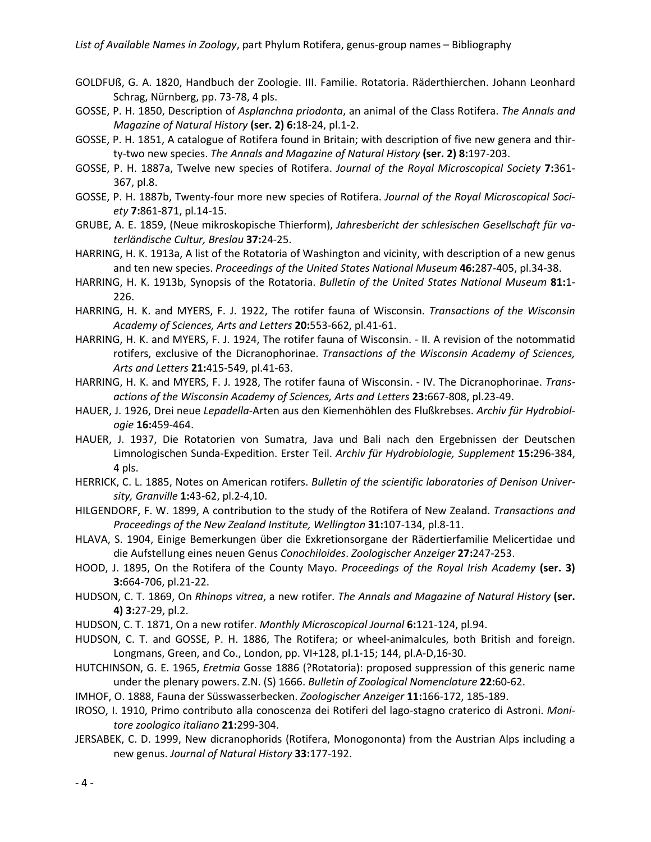- GOLDFUß, G. A. 1820, Handbuch der Zoologie. III. Familie. Rotatoria. Räderthierchen. Johann Leonhard Schrag, Nürnberg, pp. 73-78, 4 pls.
- GOSSE, P. H. 1850, Description of *Asplanchna priodonta*, an animal of the Class Rotifera. *The Annals and Magazine of Natural History* **(ser. 2) 6:**18-24, pl.1-2.
- GOSSE, P. H. 1851, A catalogue of Rotifera found in Britain; with description of five new genera and thirty-two new species. *The Annals and Magazine of Natural History* **(ser. 2) 8:**197-203.
- GOSSE, P. H. 1887a, Twelve new species of Rotifera. *Journal of the Royal Microscopical Society* **7:**361- 367, pl.8.
- GOSSE, P. H. 1887b, Twenty-four more new species of Rotifera. *Journal of the Royal Microscopical Society* **7:**861-871, pl.14-15.
- GRUBE, A. E. 1859, (Neue mikroskopische Thierform), *Jahresbericht der schlesischen Gesellschaft für vaterländische Cultur, Breslau* **37:**24-25.
- HARRING, H. K. 1913a, A list of the Rotatoria of Washington and vicinity, with description of a new genus and ten new species. *Proceedings of the United States National Museum* **46:**287-405, pl.34-38.
- HARRING, H. K. 1913b, Synopsis of the Rotatoria. *Bulletin of the United States National Museum* **81:**1- 226.
- HARRING, H. K. and MYERS, F. J. 1922, The rotifer fauna of Wisconsin. *Transactions of the Wisconsin Academy of Sciences, Arts and Letters* **20:**553-662, pl.41-61.
- HARRING, H. K. and MYERS, F. J. 1924, The rotifer fauna of Wisconsin. II. A revision of the notommatid rotifers, exclusive of the Dicranophorinae. *Transactions of the Wisconsin Academy of Sciences, Arts and Letters* **21:**415-549, pl.41-63.
- HARRING, H. K. and MYERS, F. J. 1928, The rotifer fauna of Wisconsin. IV. The Dicranophorinae. *Transactions of the Wisconsin Academy of Sciences, Arts and Letters* **23:**667-808, pl.23-49.
- HAUER, J. 1926, Drei neue *Lepadella*-Arten aus den Kiemenhöhlen des Flußkrebses. *Archiv für Hydrobiologie* **16:**459-464.
- HAUER, J. 1937, Die Rotatorien von Sumatra, Java und Bali nach den Ergebnissen der Deutschen Limnologischen Sunda-Expedition. Erster Teil. *Archiv für Hydrobiologie, Supplement* **15:**296-384, 4 pls.
- HERRICK, C. L. 1885, Notes on American rotifers. *Bulletin of the scientific laboratories of Denison University, Granville* **1:**43-62, pl.2-4,10.
- HILGENDORF, F. W. 1899, A contribution to the study of the Rotifera of New Zealand. *Transactions and Proceedings of the New Zealand Institute, Wellington* **31:**107-134, pl.8-11.
- HLAVA, S. 1904, Einige Bemerkungen über die Exkretionsorgane der Rädertierfamilie Melicertidae und die Aufstellung eines neuen Genus *Conochiloides*. *Zoologischer Anzeiger* **27:**247-253.
- HOOD, J. 1895, On the Rotifera of the County Mayo. *Proceedings of the Royal Irish Academy* **(ser. 3) 3:**664-706, pl.21-22.
- HUDSON, C. T. 1869, On *Rhinops vitrea*, a new rotifer. *The Annals and Magazine of Natural History* **(ser. 4) 3:**27-29, pl.2.
- HUDSON, C. T. 1871, On a new rotifer. *Monthly Microscopical Journal* **6:**121-124, pl.94.
- HUDSON, C. T. and GOSSE, P. H. 1886, The Rotifera; or wheel-animalcules, both British and foreign. Longmans, Green, and Co., London, pp. VI+128, pl.1-15; 144, pl.A-D,16-30.
- HUTCHINSON, G. E. 1965, *Eretmia* Gosse 1886 (?Rotatoria): proposed suppression of this generic name under the plenary powers. Z.N. (S) 1666. *Bulletin of Zoological Nomenclature* **22:**60-62.
- IMHOF, O. 1888, Fauna der Süsswasserbecken. *Zoologischer Anzeiger* **11:**166-172, 185-189.
- IROSO, I. 1910, Primo contributo alla conoscenza dei Rotiferi del lago-stagno craterico di Astroni. *Monitore zoologico italiano* **21:**299-304.
- JERSABEK, C. D. 1999, New dicranophorids (Rotifera, Monogononta) from the Austrian Alps including a new genus. *Journal of Natural History* **33:**177-192.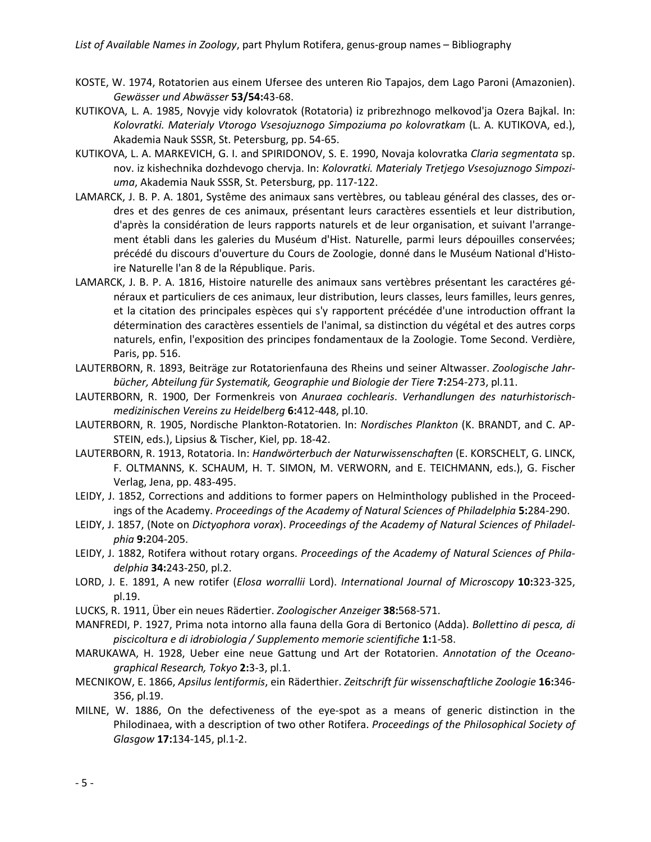- KOSTE, W. 1974, Rotatorien aus einem Ufersee des unteren Rio Tapajos, dem Lago Paroni (Amazonien). *Gewässer und Abwässer* **53/54:**43-68.
- KUTIKOVA, L. A. 1985, Novyje vidy kolovratok (Rotatoria) iz pribrezhnogo melkovod'ja Ozera Bajkal. In: *Kolovratki. Materialy Vtorogo Vsesojuznogo Simpoziuma po kolovratkam* (L. A. KUTIKOVA, ed.), Akademia Nauk SSSR, St. Petersburg, pp. 54-65.
- KUTIKOVA, L. A. MARKEVICH, G. I. and SPIRIDONOV, S. E. 1990, Novaja kolovratka *Claria segmentata* sp. nov. iz kishechnika dozhdevogo chervja. In: *Kolovratki. Materialy Tretjego Vsesojuznogo Simpoziuma*, Akademia Nauk SSSR, St. Petersburg, pp. 117-122.
- LAMARCK, J. B. P. A. 1801, Systême des animaux sans vertèbres, ou tableau général des classes, des ordres et des genres de ces animaux, présentant leurs caractères essentiels et leur distribution, d'après la considération de leurs rapports naturels et de leur organisation, et suivant l'arrangement établi dans les galeries du Muséum d'Hist. Naturelle, parmi leurs dépouilles conservées; précédé du discours d'ouverture du Cours de Zoologie, donné dans le Muséum National d'Histoire Naturelle l'an 8 de la République. Paris.
- LAMARCK, J. B. P. A. 1816, Histoire naturelle des animaux sans vertèbres présentant les caractéres généraux et particuliers de ces animaux, leur distribution, leurs classes, leurs familles, leurs genres, et la citation des principales espèces qui s'y rapportent précédée d'une introduction offrant la détermination des caractères essentiels de l'animal, sa distinction du végétal et des autres corps naturels, enfin, l'exposition des principes fondamentaux de la Zoologie. Tome Second. Verdière, Paris, pp. 516.
- LAUTERBORN, R. 1893, Beiträge zur Rotatorienfauna des Rheins und seiner Altwasser. *Zoologische Jahrbücher, Abteilung für Systematik, Geographie und Biologie der Tiere* **7:**254-273, pl.11.
- LAUTERBORN, R. 1900, Der Formenkreis von *Anuraea cochlearis*. *Verhandlungen des naturhistorischmedizinischen Vereins zu Heidelberg* **6:**412-448, pl.10.
- LAUTERBORN, R. 1905, Nordische Plankton-Rotatorien. In: *Nordisches Plankton* (K. BRANDT, and C. AP-STEIN, eds.), Lipsius & Tischer, Kiel, pp. 18-42.
- LAUTERBORN, R. 1913, Rotatoria. In: *Handwörterbuch der Naturwissenschaften* (E. KORSCHELT, G. LINCK, F. OLTMANNS, K. SCHAUM, H. T. SIMON, M. VERWORN, and E. TEICHMANN, eds.), G. Fischer Verlag, Jena, pp. 483-495.
- LEIDY, J. 1852, Corrections and additions to former papers on Helminthology published in the Proceedings of the Academy. *Proceedings of the Academy of Natural Sciences of Philadelphia* **5:**284-290.
- LEIDY, J. 1857, (Note on *Dictyophora vorax*). *Proceedings of the Academy of Natural Sciences of Philadelphia* **9:**204-205.
- LEIDY, J. 1882, Rotifera without rotary organs. *Proceedings of the Academy of Natural Sciences of Philadelphia* **34:**243-250, pl.2.
- LORD, J. E. 1891, A new rotifer (*Elosa worrallii* Lord). *International Journal of Microscopy* **10:**323-325, pl.19.
- LUCKS, R. 1911, Über ein neues Rädertier. *Zoologischer Anzeiger* **38:**568-571.
- MANFREDI, P. 1927, Prima nota intorno alla fauna della Gora di Bertonico (Adda). *Bollettino di pesca, di piscicoltura e di idrobiologia / Supplemento memorie scientifiche* **1:**1-58.
- MARUKAWA, H. 1928, Ueber eine neue Gattung und Art der Rotatorien. *Annotation of the Oceanographical Research, Tokyo* **2:**3-3, pl.1.
- MECNIKOW, E. 1866, *Apsilus lentiformis*, ein Räderthier. *Zeitschrift für wissenschaftliche Zoologie* **16:**346- 356, pl.19.
- MILNE, W. 1886, On the defectiveness of the eye-spot as a means of generic distinction in the Philodinaea, with a description of two other Rotifera. *Proceedings of the Philosophical Society of Glasgow* **17:**134-145, pl.1-2.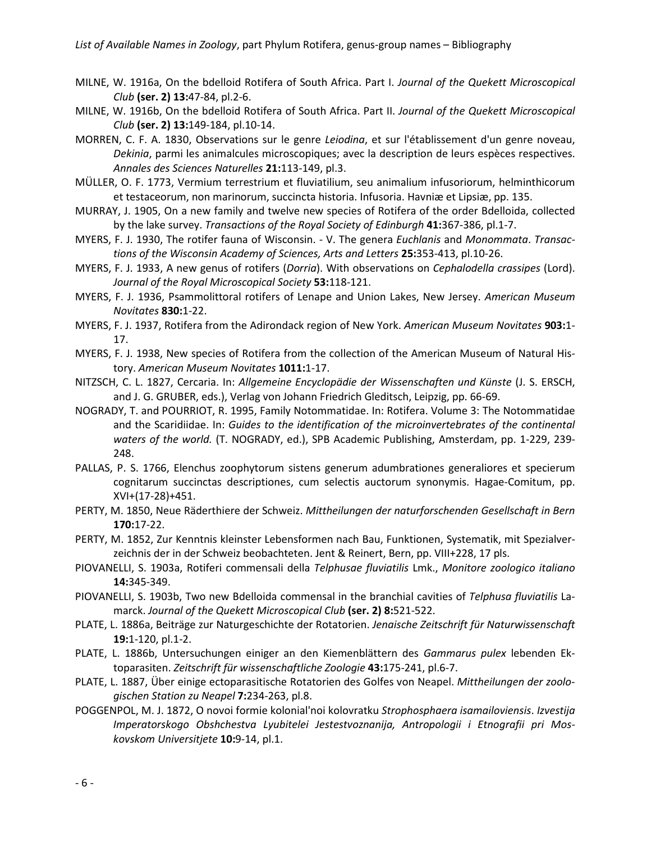- MILNE, W. 1916a, On the bdelloid Rotifera of South Africa. Part I. *Journal of the Quekett Microscopical Club* **(ser. 2) 13:**47-84, pl.2-6.
- MILNE, W. 1916b, On the bdelloid Rotifera of South Africa. Part II. *Journal of the Quekett Microscopical Club* **(ser. 2) 13:**149-184, pl.10-14.
- MORREN, C. F. A. 1830, Observations sur le genre *Leiodina*, et sur l'établissement d'un genre noveau, *Dekinia*, parmi les animalcules microscopiques; avec la description de leurs espèces respectives. *Annales des Sciences Naturelles* **21:**113-149, pl.3.
- MÜLLER, O. F. 1773, Vermium terrestrium et fluviatilium, seu animalium infusoriorum, helminthicorum et testaceorum, non marinorum, succincta historia. Infusoria. Havniæ et Lipsiæ, pp. 135.
- MURRAY, J. 1905, On a new family and twelve new species of Rotifera of the order Bdelloida, collected by the lake survey. *Transactions of the Royal Society of Edinburgh* **41:**367-386, pl.1-7.
- MYERS, F. J. 1930, The rotifer fauna of Wisconsin. V. The genera *Euchlanis* and *Monommata*. *Transactions of the Wisconsin Academy of Sciences, Arts and Letters* **25:**353-413, pl.10-26.
- MYERS, F. J. 1933, A new genus of rotifers (*Dorria*). With observations on *Cephalodella crassipes* (Lord). *Journal of the Royal Microscopical Society* **53:**118-121.
- MYERS, F. J. 1936, Psammolittoral rotifers of Lenape and Union Lakes, New Jersey. *American Museum Novitates* **830:**1-22.
- MYERS, F. J. 1937, Rotifera from the Adirondack region of New York. *American Museum Novitates* **903:**1- 17.
- MYERS, F. J. 1938, New species of Rotifera from the collection of the American Museum of Natural History. *American Museum Novitates* **1011:**1-17.
- NITZSCH, C. L. 1827, Cercaria. In: *Allgemeine Encyclopädie der Wissenschaften und Künste* (J. S. ERSCH, and J. G. GRUBER, eds.), Verlag von Johann Friedrich Gleditsch, Leipzig, pp. 66-69.
- NOGRADY, T. and POURRIOT, R. 1995, Family Notommatidae. In: Rotifera. Volume 3: The Notommatidae and the Scaridiidae. In: *Guides to the identification of the microinvertebrates of the continental waters of the world.* (T. NOGRADY, ed.), SPB Academic Publishing, Amsterdam, pp. 1-229, 239- 248.
- PALLAS, P. S. 1766, Elenchus zoophytorum sistens generum adumbrationes generaliores et specierum cognitarum succinctas descriptiones, cum selectis auctorum synonymis. Hagae-Comitum, pp. XVI+(17-28)+451.
- PERTY, M. 1850, Neue Räderthiere der Schweiz. *Mittheilungen der naturforschenden Gesellschaft in Bern* **170:**17-22.
- PERTY, M. 1852, Zur Kenntnis kleinster Lebensformen nach Bau, Funktionen, Systematik, mit Spezialverzeichnis der in der Schweiz beobachteten. Jent & Reinert, Bern, pp. VIII+228, 17 pls.
- PIOVANELLI, S. 1903a, Rotiferi commensali della *Telphusae fluviatilis* Lmk., *Monitore zoologico italiano* **14:**345-349.
- PIOVANELLI, S. 1903b, Two new Bdelloida commensal in the branchial cavities of *Telphusa fluviatilis* Lamarck. *Journal of the Quekett Microscopical Club* **(ser. 2) 8:**521-522.
- PLATE, L. 1886a, Beiträge zur Naturgeschichte der Rotatorien. *Jenaische Zeitschrift für Naturwissenschaft* **19:**1-120, pl.1-2.
- PLATE, L. 1886b, Untersuchungen einiger an den Kiemenblättern des *Gammarus pulex* lebenden Ektoparasiten. *Zeitschrift für wissenschaftliche Zoologie* **43:**175-241, pl.6-7.
- PLATE, L. 1887, Über einige ectoparasitische Rotatorien des Golfes von Neapel. *Mittheilungen der zoologischen Station zu Neapel* **7:**234-263, pl.8.
- POGGENPOL, M. J. 1872, O novoi formie kolonial'noi kolovratku *Strophosphaera isamailoviensis*. *Izvestija Imperatorskogo Obshchestva Lyubitelei Jestestvoznanija, Antropologii i Etnografii pri Moskovskom Universitjete* **10:**9-14, pl.1.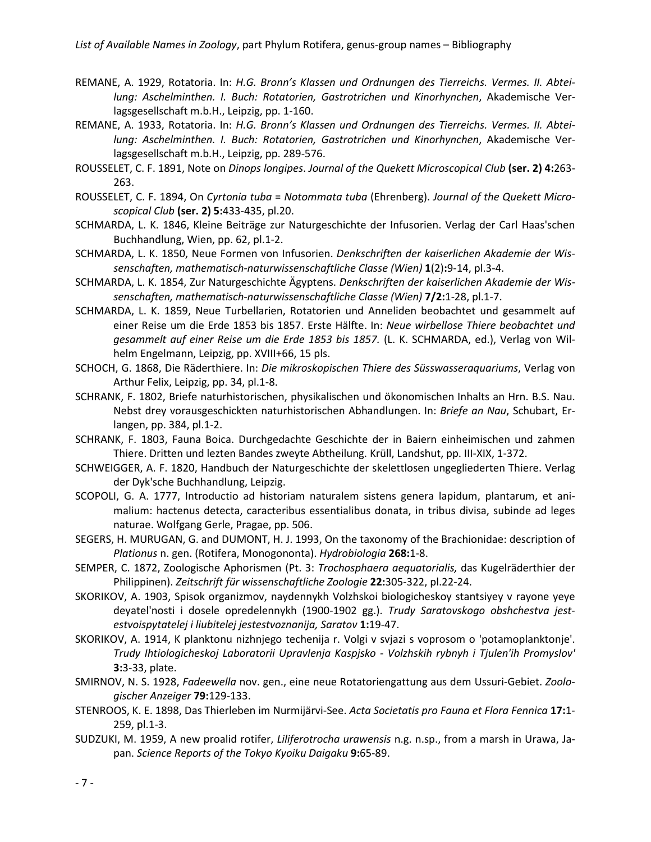- REMANE, A. 1929, Rotatoria. In: *H.G. Bronn's Klassen und Ordnungen des Tierreichs. Vermes. II. Abteilung: Aschelminthen. I. Buch: Rotatorien, Gastrotrichen und Kinorhynchen*, Akademische Verlagsgesellschaft m.b.H., Leipzig, pp. 1-160.
- REMANE, A. 1933, Rotatoria. In: *H.G. Bronn's Klassen und Ordnungen des Tierreichs. Vermes. II. Abteilung: Aschelminthen. I. Buch: Rotatorien, Gastrotrichen und Kinorhynchen*, Akademische Verlagsgesellschaft m.b.H., Leipzig, pp. 289-576.
- ROUSSELET, C. F. 1891, Note on *Dinops longipes*. *Journal of the Quekett Microscopical Club* **(ser. 2) 4:**263- 263.
- ROUSSELET, C. F. 1894, On *Cyrtonia tuba* = *Notommata tuba* (Ehrenberg). *Journal of the Quekett Microscopical Club* **(ser. 2) 5:**433-435, pl.20.
- SCHMARDA, L. K. 1846, Kleine Beiträge zur Naturgeschichte der Infusorien. Verlag der Carl Haas'schen Buchhandlung, Wien, pp. 62, pl.1-2.
- SCHMARDA, L. K. 1850, Neue Formen von Infusorien. *Denkschriften der kaiserlichen Akademie der Wissenschaften, mathematisch-naturwissenschaftliche Classe (Wien)* **1**(2)**:**9-14, pl.3-4.
- SCHMARDA, L. K. 1854, Zur Naturgeschichte Ägyptens. *Denkschriften der kaiserlichen Akademie der Wissenschaften, mathematisch-naturwissenschaftliche Classe (Wien)* **7/2:**1-28, pl.1-7.
- SCHMARDA, L. K. 1859, Neue Turbellarien, Rotatorien und Anneliden beobachtet und gesammelt auf einer Reise um die Erde 1853 bis 1857. Erste Hälfte. In: *Neue wirbellose Thiere beobachtet und gesammelt auf einer Reise um die Erde 1853 bis 1857.* (L. K. SCHMARDA, ed.), Verlag von Wilhelm Engelmann, Leipzig, pp. XVIII+66, 15 pls.
- SCHOCH, G. 1868, Die Räderthiere. In: *Die mikroskopischen Thiere des Süsswasseraquariums*, Verlag von Arthur Felix, Leipzig, pp. 34, pl.1-8.
- SCHRANK, F. 1802, Briefe naturhistorischen, physikalischen und ökonomischen Inhalts an Hrn. B.S. Nau. Nebst drey vorausgeschickten naturhistorischen Abhandlungen. In: *Briefe an Nau*, Schubart, Erlangen, pp. 384, pl.1-2.
- SCHRANK, F. 1803, Fauna Boica. Durchgedachte Geschichte der in Baiern einheimischen und zahmen Thiere. Dritten und lezten Bandes zweyte Abtheilung. Krüll, Landshut, pp. III-XIX, 1-372.
- SCHWEIGGER, A. F. 1820, Handbuch der Naturgeschichte der skelettlosen ungegliederten Thiere. Verlag der Dyk'sche Buchhandlung, Leipzig.
- SCOPOLI, G. A. 1777, Introductio ad historiam naturalem sistens genera lapidum, plantarum, et animalium: hactenus detecta, caracteribus essentialibus donata, in tribus divisa, subinde ad leges naturae. Wolfgang Gerle, Pragae, pp. 506.
- SEGERS, H. MURUGAN, G. and DUMONT, H. J. 1993, On the taxonomy of the Brachionidae: description of *Plationus* n. gen. (Rotifera, Monogononta). *Hydrobiologia* **268:**1-8.
- SEMPER, C. 1872, Zoologische Aphorismen (Pt. 3: *Trochosphaera aequatorialis,* das Kugelräderthier der Philippinen). *Zeitschrift für wissenschaftliche Zoologie* **22:**305-322, pl.22-24.
- SKORIKOV, A. 1903, Spisok organizmov, naydennykh Volzhskoi biologicheskoy stantsiyey v rayone yeye deyatel'nosti i dosele opredelennykh (1900-1902 gg.). *Trudy Saratovskogo obshchestva jestestvoispytatelej i liubitelej jestestvoznanija, Saratov* **1:**19-47.
- SKORIKOV, A. 1914, K planktonu nizhnjego techenija r. Volgi v svjazi s voprosom o 'potamoplanktonje'. *Trudy Ihtiologicheskoj Laboratorii Upravlenja Kaspjsko - Volzhskih rybnyh i Tjulen'ih Promyslov'* **3:**3-33, plate.
- SMIRNOV, N. S. 1928, *Fadeewella* nov. gen., eine neue Rotatoriengattung aus dem Ussuri-Gebiet. *Zoologischer Anzeiger* **79:**129-133.
- STENROOS, K. E. 1898, Das Thierleben im Nurmijärvi-See. *Acta Societatis pro Fauna et Flora Fennica* **17:**1- 259, pl.1-3.
- SUDZUKI, M. 1959, A new proalid rotifer, *Liliferotrocha urawensis* n.g. n.sp., from a marsh in Urawa, Japan. *Science Reports of the Tokyo Kyoiku Daigaku* **9:**65-89.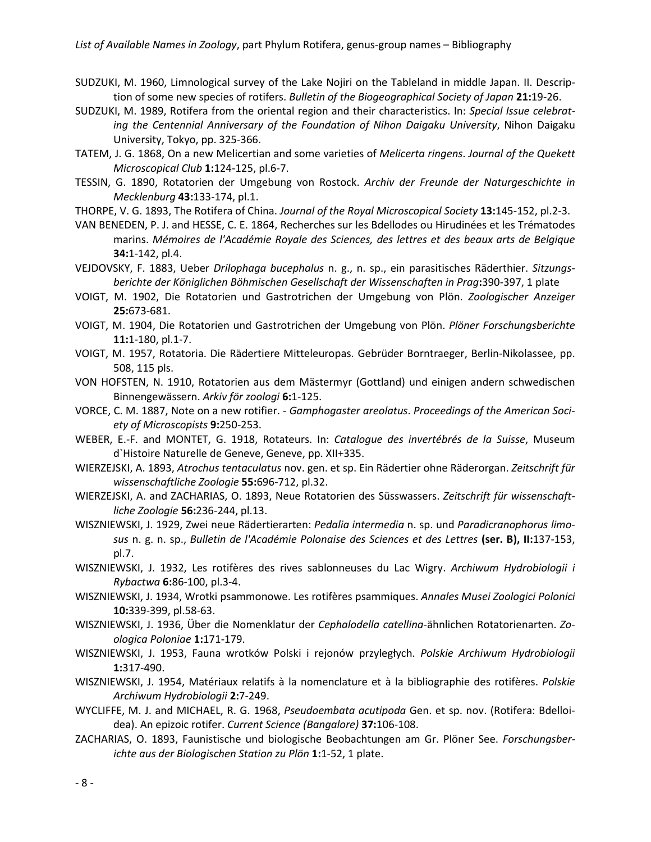- SUDZUKI, M. 1960, Limnological survey of the Lake Nojiri on the Tableland in middle Japan. II. Description of some new species of rotifers. *Bulletin of the Biogeographical Society of Japan* **21:**19-26.
- SUDZUKI, M. 1989, Rotifera from the oriental region and their characteristics. In: *Special Issue celebrating the Centennial Anniversary of the Foundation of Nihon Daigaku University*, Nihon Daigaku University, Tokyo, pp. 325-366.
- TATEM, J. G. 1868, On a new Melicertian and some varieties of *Melicerta ringens*. *Journal of the Quekett Microscopical Club* **1:**124-125, pl.6-7.
- TESSIN, G. 1890, Rotatorien der Umgebung von Rostock. *Archiv der Freunde der Naturgeschichte in Mecklenburg* **43:**133-174, pl.1.
- THORPE, V. G. 1893, The Rotifera of China. *Journal of the Royal Microscopical Society* **13:**145-152, pl.2-3.
- VAN BENEDEN, P. J. and HESSE, C. E. 1864, Recherches sur les Bdellodes ou Hirudinées et les Trématodes marins. *Mémoires de l'Académie Royale des Sciences, des lettres et des beaux arts de Belgique* **34:**1-142, pl.4.
- VEJDOVSKY, F. 1883, Ueber *Drilophaga bucephalus* n. g., n. sp., ein parasitisches Räderthier. *Sitzungsberichte der Königlichen Böhmischen Gesellschaft der Wissenschaften in Prag***:**390-397, 1 plate
- VOIGT, M. 1902, Die Rotatorien und Gastrotrichen der Umgebung von Plön. *Zoologischer Anzeiger* **25:**673-681.
- VOIGT, M. 1904, Die Rotatorien und Gastrotrichen der Umgebung von Plön. *Plöner Forschungsberichte* **11:**1-180, pl.1-7.
- VOIGT, M. 1957, Rotatoria. Die Rädertiere Mitteleuropas. Gebrüder Borntraeger, Berlin-Nikolassee, pp. 508, 115 pls.
- VON HOFSTEN, N. 1910, Rotatorien aus dem Mästermyr (Gottland) und einigen andern schwedischen Binnengewässern. *Arkiv för zoologi* **6:**1-125.
- VORCE, C. M. 1887, Note on a new rotifier. *Gamphogaster areolatus*. *Proceedings of the American Society of Microscopists* **9:**250-253.
- WEBER, E.-F. and MONTET, G. 1918, Rotateurs. In: *Catalogue des invertébrés de la Suisse*, Museum d`Histoire Naturelle de Geneve, Geneve, pp. XII+335.
- WIERZEJSKI, A. 1893, *Atrochus tentaculatus* nov. gen. et sp. Ein Rädertier ohne Räderorgan. *Zeitschrift für wissenschaftliche Zoologie* **55:**696-712, pl.32.
- WIERZEJSKI, A. and ZACHARIAS, O. 1893, Neue Rotatorien des Süsswassers. *Zeitschrift für wissenschaftliche Zoologie* **56:**236-244, pl.13.
- WISZNIEWSKI, J. 1929, Zwei neue Rädertierarten: *Pedalia intermedia* n. sp. und *Paradicranophorus limosus* n. g. n. sp., *Bulletin de l'Académie Polonaise des Sciences et des Lettres* **(ser. B), II:**137-153, pl.7.
- WISZNIEWSKI, J. 1932, Les rotifères des rives sablonneuses du Lac Wigry. *Archiwum Hydrobiologii i Rybactwa* **6:**86-100, pl.3-4.
- WISZNIEWSKI, J. 1934, Wrotki psammonowe. Les rotifères psammiques. *Annales Musei Zoologici Polonici* **10:**339-399, pl.58-63.
- WISZNIEWSKI, J. 1936, Über die Nomenklatur der *Cephalodella catellina*-ähnlichen Rotatorienarten. *Zoologica Poloniae* **1:**171-179.
- WISZNIEWSKI, J. 1953, Fauna wrotków Polski i rejonów przyległych. *Polskie Archiwum Hydrobiologii* **1:**317-490.
- WISZNIEWSKI, J. 1954, Matériaux relatifs à la nomenclature et à la bibliographie des rotifères. *Polskie Archiwum Hydrobiologii* **2:**7-249.
- WYCLIFFE, M. J. and MICHAEL, R. G. 1968, *Pseudoembata acutipoda* Gen. et sp. nov. (Rotifera: Bdelloidea). An epizoic rotifer. *Current Science (Bangalore)* **37:**106-108.
- ZACHARIAS, O. 1893, Faunistische und biologische Beobachtungen am Gr. Plöner See. *Forschungsberichte aus der Biologischen Station zu Plön* **1:**1-52, 1 plate.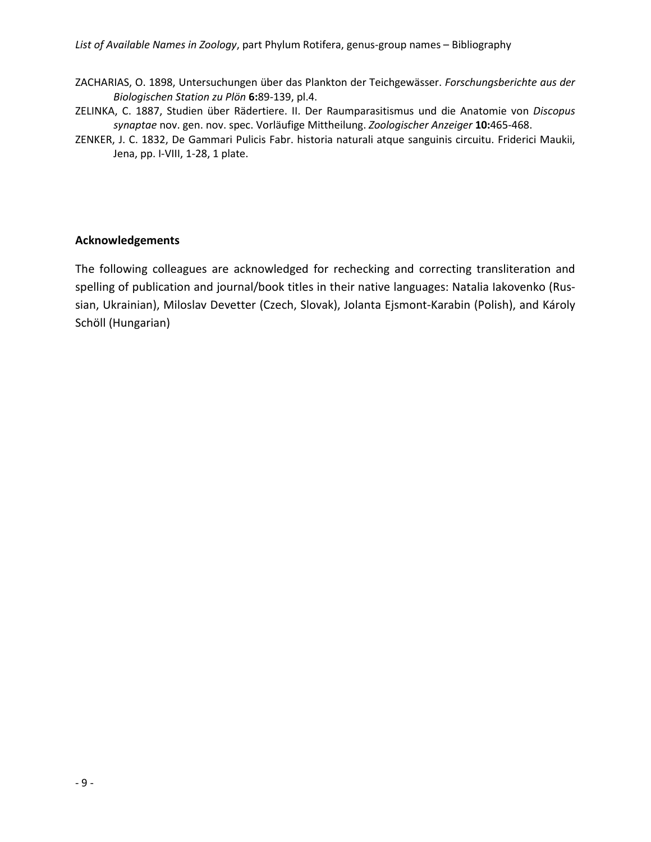- ZACHARIAS, O. 1898, Untersuchungen über das Plankton der Teichgewässer. *Forschungsberichte aus der Biologischen Station zu Plön* **6:**89-139, pl.4.
- ZELINKA, C. 1887, Studien über Rädertiere. II. Der Raumparasitismus und die Anatomie von *Discopus synaptae* nov. gen. nov. spec. Vorläufige Mittheilung. *Zoologischer Anzeiger* **10:**465-468.
- ZENKER, J. C. 1832, De Gammari Pulicis Fabr. historia naturali atque sanguinis circuitu. Friderici Maukii, Jena, pp. I-VIII, 1-28, 1 plate.

## **Acknowledgements**

The following colleagues are acknowledged for rechecking and correcting transliteration and spelling of publication and journal/book titles in their native languages: Natalia Iakovenko (Russian, Ukrainian), Miloslav Devetter (Czech, Slovak), Jolanta Ejsmont-Karabin (Polish), and Károly Schöll (Hungarian)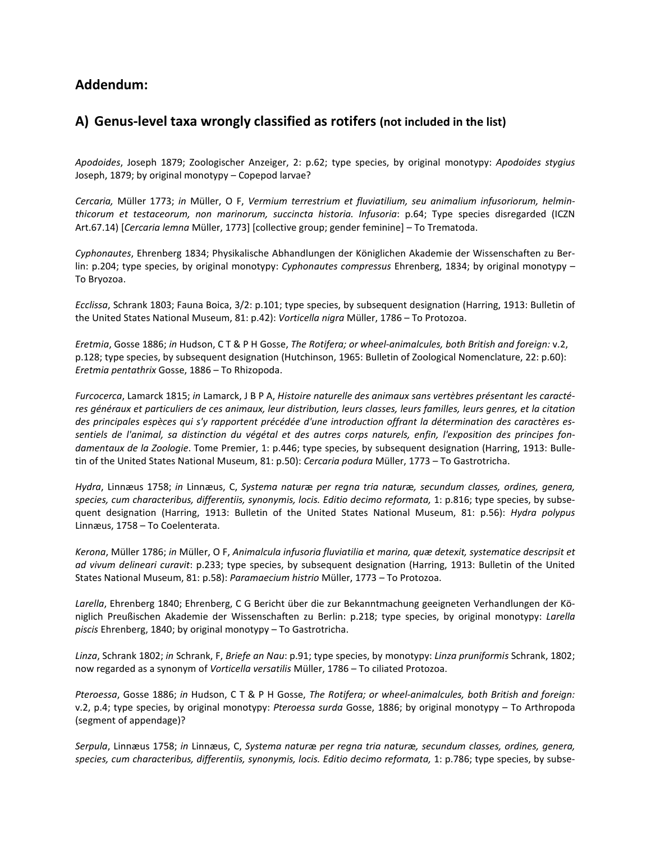# **Addendum:**

# **A) Genus-level taxa wrongly classified as rotifers (not included in the list)**

*Apodoides*, Joseph 1879; Zoologischer Anzeiger, 2: p.62; type species, by original monotypy: *Apodoides stygius* Joseph, 1879; by original monotypy – Copepod larvae?

*Cercaria,* Müller 1773; *in* Müller, O F, *Vermium terrestrium et fluviatilium, seu animalium infusoriorum, helminthicorum et testaceorum, non marinorum, succincta historia. Infusoria*: p.64; Type species disregarded (ICZN Art.67.14) [*Cercaria lemna* Müller, 1773] [collective group; gender feminine] – To Trematoda.

*Cyphonautes*, Ehrenberg 1834; Physikalische Abhandlungen der Königlichen Akademie der Wissenschaften zu Berlin: p.204; type species, by original monotypy: *Cyphonautes compressus* Ehrenberg, 1834; by original monotypy – To Bryozoa.

*Ecclissa*, Schrank 1803; Fauna Boica, 3/2: p.101; type species, by subsequent designation (Harring, 1913: Bulletin of the United States National Museum, 81: p.42): *Vorticella nigra* Müller, 1786 – To Protozoa.

*Eretmia*, Gosse 1886; *in* Hudson, C T & P H Gosse, *The Rotifera; or wheel-animalcules, both British and foreign:* v.2, p.128; type species, by subsequent designation (Hutchinson, 1965: Bulletin of Zoological Nomenclature, 22: p.60): *Eretmia pentathrix* Gosse, 1886 – To Rhizopoda.

*Furcocerca*, Lamarck 1815; *in* Lamarck, J B P A, *Histoire naturelle des animaux sans vertèbres présentant les caractéres généraux et particuliers de ces animaux, leur distribution, leurs classes, leurs familles, leurs genres, et la citation des principales espèces qui s'y rapportent précédée d'une introduction offrant la détermination des caractères essentiels de l'animal, sa distinction du végétal et des autres corps naturels, enfin, l'exposition des principes fondamentaux de la Zoologie*. Tome Premier, 1: p.446; type species, by subsequent designation (Harring, 1913: Bulletin of the United States National Museum, 81: p.50): *Cercaria podura* Müller, 1773 – To Gastrotricha.

*Hydra*, Linnæus 1758; *in* Linnæus, C, *Systema natur*æ *per regna tria natur*æ*, secundum classes, ordines, genera, species, cum characteribus, differentiis, synonymis, locis. Editio decimo reformata,* 1: p.816; type species, by subsequent designation (Harring, 1913: Bulletin of the United States National Museum, 81: p.56): *Hydra polypus* Linnæus, 1758 – To Coelenterata.

*Kerona*, Müller 1786; *in* Müller, O F, *Animalcula infusoria fluviatilia et marina, quæ detexit, systematice descripsit et ad vivum delineari curavit*: p.233; type species, by subsequent designation (Harring, 1913: Bulletin of the United States National Museum, 81: p.58): *Paramaecium histrio* Müller, 1773 – To Protozoa.

*Larella*, Ehrenberg 1840; Ehrenberg, C G Bericht über die zur Bekanntmachung geeigneten Verhandlungen der Königlich Preußischen Akademie der Wissenschaften zu Berlin: p.218; type species, by original monotypy: *Larella piscis* Ehrenberg, 1840; by original monotypy – To Gastrotricha.

*Linza*, Schrank 1802; *in* Schrank, F, *Briefe an Nau*: p.91; type species, by monotypy: *Linza pruniformis* Schrank, 1802; now regarded as a synonym of *Vorticella versatilis* Müller, 1786 – To ciliated Protozoa.

*Pteroessa*, Gosse 1886; *in* Hudson, C T & P H Gosse, *The Rotifera; or wheel-animalcules, both British and foreign:* v.2, p.4; type species, by original monotypy: *Pteroessa surda* Gosse, 1886; by original monotypy – To Arthropoda (segment of appendage)?

*Serpula*, Linnæus 1758; *in* Linnæus, C, *Systema natur*æ *per regna tria natur*æ*, secundum classes, ordines, genera, species, cum characteribus, differentiis, synonymis, locis. Editio decimo reformata,* 1: p.786; type species, by subse